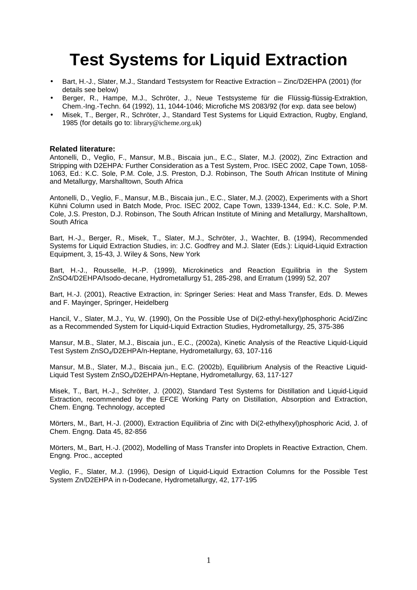# **Test Systems for Liquid Extraction**

- Bart, H.-J., Slater, M.J., Standard Testsystem for Reactive Extraction Zinc/D2EHPA (2001) (for details see below)
- Berger, R., Hampe, M.J., Schröter, J., Neue Testsysteme für die Flüssig-flüssig-Extraktion, Chem.-Ing.-Techn. 64 (1992), 11, 1044-1046; Microfiche MS 2083/92 (for exp. data see below)
- Misek, T., Berger, R., Schröter, J., Standard Test Systems for Liquid Extraction, Rugby, England, 1985 (for details go to: library@icheme.org.uk)

#### **Related literature:**

Antonelli, D., Veglio, F., Mansur, M.B., Biscaia jun., E.C., Slater, M.J. (2002), Zinc Extraction and Stripping with D2EHPA: Further Consideration as a Test System, Proc. ISEC 2002, Cape Town, 1058- 1063, Ed.: K.C. Sole, P.M. Cole, J.S. Preston, D.J. Robinson, The South African Institute of Mining and Metallurgy, Marshalltown, South Africa

Antonelli, D., Veglio, F., Mansur, M.B., Biscaia jun., E.C., Slater, M.J. (2002), Experiments with a Short Kühni Column used in Batch Mode, Proc. ISEC 2002, Cape Town, 1339-1344, Ed.: K.C. Sole, P.M. Cole, J.S. Preston, D.J. Robinson, The South African Institute of Mining and Metallurgy, Marshalltown, South Africa

Bart, H.-J., Berger, R., Misek, T., Slater, M.J., Schröter, J., Wachter, B. (1994), Recommended Systems for Liquid Extraction Studies, in: J.C. Godfrey and M.J. Slater (Eds.): Liquid-Liquid Extraction Equipment, 3, 15-43, J. Wiley & Sons, New York

Bart, H.-J., Rousselle, H.-P. (1999), Microkinetics and Reaction Equilibria in the System ZnSO4/D2EHPA/Isodo-decane, Hydrometallurgy 51, 285-298, and Erratum (1999) 52, 207

Bart, H.-J. (2001), Reactive Extraction, in: Springer Series: Heat and Mass Transfer, Eds. D. Mewes and F. Mayinger, Springer, Heidelberg

Hancil, V., Slater, M.J., Yu, W. (1990), On the Possible Use of Di(2-ethyl-hexyl)phosphoric Acid/Zinc as a Recommended System for Liquid-Liquid Extraction Studies, Hydrometallurgy, 25, 375-386

Mansur, M.B., Slater, M.J., Biscaia jun., E.C., (2002a), Kinetic Analysis of the Reactive Liquid-Liquid Test System ZnSO4/D2EHPA/n-Heptane, Hydrometallurgy, 63, 107-116

Mansur, M.B., Slater, M.J., Biscaia jun., E.C. (2002b), Equilibrium Analysis of the Reactive Liquid-Liquid Test System ZnSO<sub>4</sub>/D2EHPA/n-Heptane, Hydrometallurgy, 63, 117-127

Misek, T., Bart, H.-J., Schröter, J. (2002), Standard Test Systems for Distillation and Liquid-Liquid Extraction, recommended by the EFCE Working Party on Distillation, Absorption and Extraction, Chem. Engng. Technology, accepted

Mörters, M., Bart, H.-J. (2000), Extraction Equilibria of Zinc with Di(2-ethylhexyl)phosphoric Acid, J. of Chem. Engng. Data 45, 82-856

Mörters, M., Bart, H.-J. (2002), Modelling of Mass Transfer into Droplets in Reactive Extraction, Chem. Engng. Proc., accepted

Veglio, F., Slater, M.J. (1996), Design of Liquid-Liquid Extraction Columns for the Possible Test System Zn/D2EHPA in n-Dodecane, Hydrometallurgy, 42, 177-195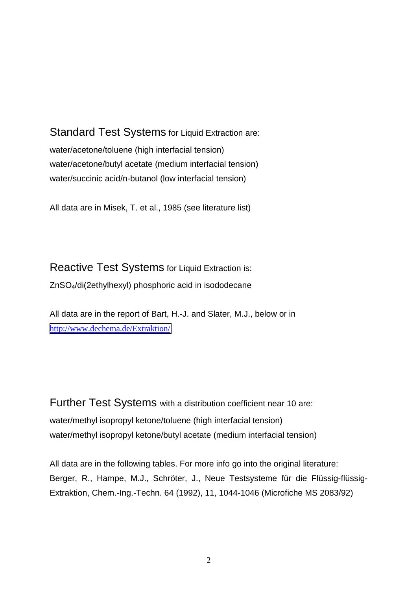Standard Test Systems for Liquid Extraction are: water/acetone/toluene (high interfacial tension) water/acetone/butyl acetate (medium interfacial tension) water/succinic acid/n-butanol (low interfacial tension)

All data are in Misek, T. et al., 1985 (see literature list)

Reactive Test Systems for Liquid Extraction is: ZnSO4/di(2ethylhexyl) phosphoric acid in isododecane

All data are in the report of Bart, H.-J. and Slater, M.J., below or in <http://www.dechema.de/Extraktion/>

Further Test Systems with a distribution coefficient near 10 are: water/methyl isopropyl ketone/toluene (high interfacial tension) water/methyl isopropyl ketone/butyl acetate (medium interfacial tension)

All data are in the following tables. For more info go into the original literature: Berger, R., Hampe, M.J., Schröter, J., Neue Testsysteme für die Flüssig-flüssig-Extraktion, Chem.-Ing.-Techn. 64 (1992), 11, 1044-1046 (Microfiche MS 2083/92)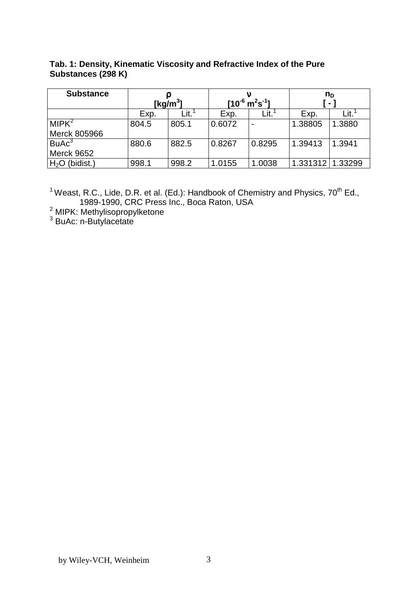| Tab. 1: Density, Kinematic Viscosity and Refractive Index of the Pure |
|-----------------------------------------------------------------------|
| Substances (298 K)                                                    |

| <b>Substance</b>  |              |       |                                       |        | $n_{D}$  |         |
|-------------------|--------------|-------|---------------------------------------|--------|----------|---------|
|                   | [kg/m $^3$ ] |       | $[10^{-6} \text{ m}^2 \text{s}^{-1}]$ |        |          |         |
|                   | Exp.         | Lit.  | Exp.                                  | Lit.   | Exp.     | Lit.    |
| MIPK <sup>2</sup> | 804.5        | 805.1 | 0.6072                                |        | 1.38805  | 1.3880  |
| Merck 805966      |              |       |                                       |        |          |         |
| $B$ u $Ac3$       | 880.6        | 882.5 | 0.8267                                | 0.8295 | 1.39413  | 1.3941  |
| <b>Merck 9652</b> |              |       |                                       |        |          |         |
| $H2O$ (bidist.)   | 998.1        | 998.2 | 1.0155                                | 1.0038 | 1.331312 | 1.33299 |

<sup>1</sup> Weast, R.C., Lide, D.R. et al. (Ed.): Handbook of Chemistry and Physics, 70<sup>th</sup> Ed., 1989-1990, CRC Press Inc., Boca Raton, USA 2 MIPK: Methylisopropylketone 3 BuAc: n-Butylacetate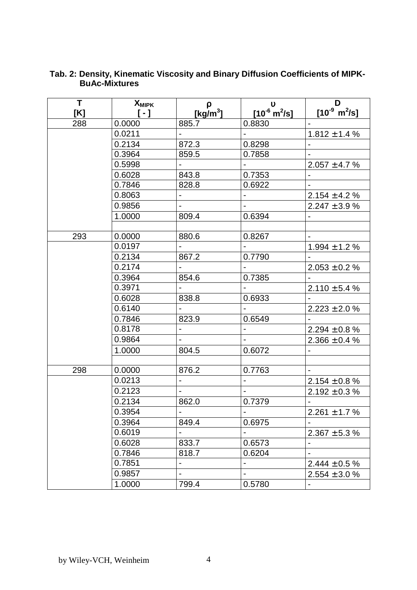| T.  | <b>X</b> <sub>MIPK</sub>                         | $\rho$                       | $\boldsymbol{v}$                 | D                                |
|-----|--------------------------------------------------|------------------------------|----------------------------------|----------------------------------|
| [K] | $\left[ \begin{array}{c} -1 \end{array} \right]$ | [ $kg/m3$ ]                  | $[10^{-6} \text{ m}^2/\text{s}]$ | $[10^{-9} \text{ m}^2/\text{s}]$ |
| 288 | 0.0000                                           | 885.7                        | 0.8830                           | $\overline{\phantom{a}}$         |
|     | 0.0211                                           |                              |                                  | $1.812 \pm 1.4$ %                |
|     | 0.2134                                           | 872.3                        | 0.8298                           |                                  |
|     | 0.3964                                           | 859.5                        | 0.7858                           |                                  |
|     | 0.5998                                           | $\overline{\phantom{a}}$     | $\blacksquare$                   | $2.057 \pm 4.7 \%$               |
|     | 0.6028                                           | 843.8                        | 0.7353                           | $\overline{a}$                   |
|     | 0.7846                                           | 828.8                        | 0.6922                           |                                  |
|     | 0.8063                                           |                              |                                  | $2.154 \pm 4.2$ %                |
|     | 0.9856                                           | $\overline{a}$               | $\blacksquare$                   | $2.247 \pm 3.9$ %                |
|     | 1.0000                                           | 809.4                        | 0.6394                           | $\overline{\phantom{a}}$         |
|     |                                                  |                              |                                  |                                  |
| 293 | 0.0000                                           | 880.6                        | 0.8267                           |                                  |
|     | 0.0197                                           |                              |                                  | $1.994 \pm 1.2$ %                |
|     | 0.2134                                           | 867.2                        | 0.7790                           |                                  |
|     | 0.2174                                           | $\overline{a}$               |                                  | $2.053 \pm 0.2$ %                |
|     | 0.3964                                           | 854.6                        | 0.7385                           |                                  |
|     | 0.3971                                           |                              |                                  | $2.110 \pm 5.4 \%$               |
|     | 0.6028                                           | 838.8                        | 0.6933                           |                                  |
|     | 0.6140                                           | $\blacksquare$               |                                  | $2.223 \pm 2.0 \%$               |
|     | 0.7846                                           | 823.9                        | 0.6549                           |                                  |
|     | 0.8178                                           | $\blacksquare$               | $\blacksquare$                   | $2.294 \pm 0.8 \%$               |
|     | 0.9864                                           |                              |                                  | $2.366 \pm 0.4 \%$               |
|     | 1.0000                                           | 804.5                        | 0.6072                           |                                  |
|     |                                                  |                              |                                  |                                  |
| 298 | 0.0000                                           | 876.2                        | 0.7763                           |                                  |
|     | 0.0213                                           | $\blacksquare$               | $\overline{a}$                   | $2.154 \pm 0.8 \%$               |
|     | 0.2123                                           | $\overline{a}$               | $\blacksquare$                   | $2.192 \pm 0.3 \%$               |
|     | 0.2134                                           | 862.0                        | 0.7379                           |                                  |
|     | 0.3954                                           |                              |                                  | $2.261 \pm 1.7 %$                |
|     | 0.3964                                           | 849.4                        | 0.6975                           |                                  |
|     | 0.6019                                           |                              |                                  | $2.367 \pm 5.3 \%$               |
|     | 0.6028                                           | 833.7                        | 0.6573                           |                                  |
|     | 0.7846                                           | 818.7                        | 0.6204                           |                                  |
|     | 0.7851                                           | $\qquad \qquad \blacksquare$ | $\qquad \qquad \blacksquare$     | $2.444 \pm 0.5 \%$               |
|     | 0.9857                                           | $\overline{a}$               | $\blacksquare$                   | $2.554 \pm 3.0 \%$               |
|     | 1.0000                                           | 799.4                        | 0.5780                           |                                  |

#### **Tab. 2: Density, Kinematic Viscosity and Binary Diffusion Coefficients of MIPK-BuAc-Mixtures**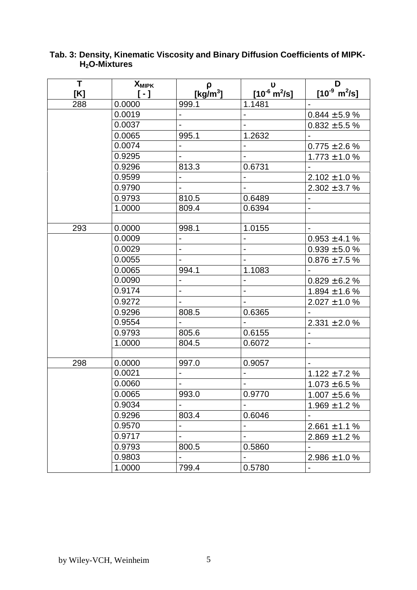| T   | <b>X</b> <sub>MIPK</sub>   | ρ                            | $\mathbf v$                   | D                                |
|-----|----------------------------|------------------------------|-------------------------------|----------------------------------|
| [K] | $\left[ \ \cdot \ \right]$ | [kg/m <sup>3</sup> ]         | $[10^6 \text{ m}^2/\text{s}]$ | $[10^{-9} \text{ m}^2/\text{s}]$ |
| 288 | 0.0000                     | 999.1                        | 1.1481                        |                                  |
|     | 0.0019                     | $\overline{a}$               |                               | $0.844 \pm 5.9 \%$               |
|     | 0.0037                     | $\blacksquare$               | $\blacksquare$                | $0.832 \pm 5.5 \%$               |
|     | 0.0065                     | 995.1                        | 1.2632                        |                                  |
|     | 0.0074                     | $\overline{a}$               | $\overline{a}$                | $0.775 \pm 2.6 \%$               |
|     | 0.9295                     | $\blacksquare$               | $\blacksquare$                | $1.773 \pm 1.0$ %                |
|     | 0.9296                     | 813.3                        | 0.6731                        |                                  |
|     | 0.9599                     | $\overline{a}$               |                               | $2.102 \pm 1.0 \%$               |
|     | 0.9790                     | $\blacksquare$               | $\blacksquare$                | $2.302 \pm 3.7 \%$               |
|     | 0.9793                     | 810.5                        | 0.6489                        |                                  |
|     | 1.0000                     | 809.4                        | 0.6394                        |                                  |
|     |                            |                              |                               |                                  |
| 293 | 0.0000                     | 998.1                        | 1.0155                        |                                  |
|     | 0.0009                     | $\blacksquare$               | $\overline{\phantom{0}}$      | $0.953 \pm 4.1 \%$               |
|     | 0.0029                     | $\overline{a}$               | $\blacksquare$                | $0.939 \pm 5.0 \%$               |
|     | 0.0055                     | $\overline{\phantom{a}}$     |                               | $0.876 \pm 7.5 \%$               |
|     | 0.0065                     | 994.1                        | 1.1083                        |                                  |
|     | 0.0090                     | $\blacksquare$               | ÷,                            | $0.829 \pm 6.2 \%$               |
|     | 0.9174                     | $\overline{a}$               | $\blacksquare$                | $1.894 \pm 1.6$ %                |
|     | 0.9272                     | $\overline{\phantom{a}}$     | $\blacksquare$                | $2.027 \pm 1.0 \%$               |
|     | 0.9296                     | 808.5                        | 0.6365                        |                                  |
|     | 0.9554                     | $\overline{a}$               | $\blacksquare$                | $2.331 \pm 2.0 \%$               |
|     | 0.9793                     | 805.6                        | 0.6155                        | $\overline{a}$                   |
|     | 1.0000                     | 804.5                        | 0.6072                        | $\overline{a}$                   |
|     |                            |                              |                               |                                  |
| 298 | 0.0000                     | 997.0                        | 0.9057                        |                                  |
|     | 0.0021                     | $\blacksquare$               | $\blacksquare$                | $1.122 \pm 7.2$ %                |
|     | 0.0060                     | $\overline{a}$               | $\overline{a}$                | $1.073 \pm 6.5$ %                |
|     | 0.0065                     | 993.0                        | 0.9770                        | $1.007 \pm 5.6$ %                |
|     | 0.9034                     |                              |                               | $1.969 \pm 1.2 \%$               |
|     | 0.9296                     | 803.4                        | 0.6046                        |                                  |
|     | 0.9570                     |                              |                               | $2.661 \pm 1.1 \%$               |
|     | 0.9717                     | $\qquad \qquad \blacksquare$ | $\overline{\phantom{0}}$      | $2.869 \pm 1.2 \%$               |
|     | 0.9793                     | 800.5                        | 0.5860                        |                                  |
|     | 0.9803                     | $\blacksquare$               |                               | $2.986 \pm 1.0 \%$               |
|     | 1.0000                     | 799.4                        | 0.5780                        |                                  |

#### **Tab. 3: Density, Kinematic Viscosity and Binary Diffusion Coefficients of MIPK-H2O-Mixtures**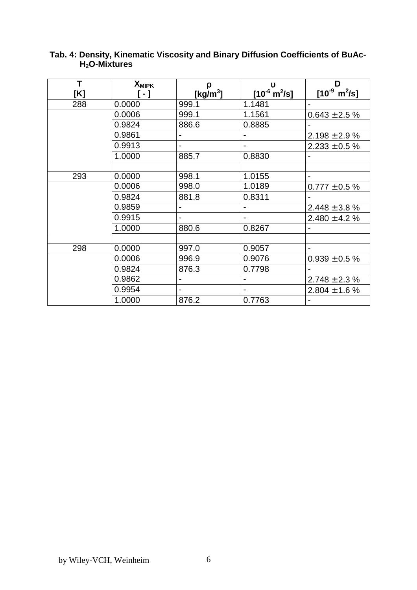| T   | <b>X</b> MIPK                                    | ρ                            | $\mathbf v$                      | D                                |
|-----|--------------------------------------------------|------------------------------|----------------------------------|----------------------------------|
| [K] | $\left[ \begin{array}{c} -1 \end{array} \right]$ | [kg/m $^3$ ]                 | $[10^{-6} \text{ m}^2/\text{s}]$ | $[10^{-9} \text{ m}^2/\text{s}]$ |
| 288 | 0.0000                                           | 999.1                        | 1.1481                           |                                  |
|     | 0.0006                                           | 999.1                        | 1.1561                           | $0.643 \pm 2.5 \%$               |
|     | 0.9824                                           | 886.6                        | 0.8885                           |                                  |
|     | 0.9861                                           |                              |                                  | $2.198 \pm 2.9 \%$               |
|     | 0.9913                                           | $\overline{\phantom{0}}$     | $\blacksquare$                   | $2.233 \pm 0.5 \%$               |
|     | 1.0000                                           | 885.7                        | 0.8830                           | $\blacksquare$                   |
|     |                                                  |                              |                                  |                                  |
| 293 | 0.0000                                           | 998.1                        | 1.0155                           | $\blacksquare$                   |
|     | 0.0006                                           | 998.0                        | 1.0189                           | $0.777 \pm 0.5 \%$               |
|     | 0.9824                                           | 881.8                        | 0.8311                           |                                  |
|     | 0.9859                                           | $\overline{a}$               |                                  | $2.448 \pm 3.8 \%$               |
|     | 0.9915                                           | -                            | $\overline{\phantom{a}}$         | $2.480 \pm 4.2 \%$               |
|     | 1.0000                                           | 880.6                        | 0.8267                           |                                  |
|     |                                                  |                              |                                  |                                  |
| 298 | 0.0000                                           | 997.0                        | 0.9057                           | $\blacksquare$                   |
|     | 0.0006                                           | 996.9                        | 0.9076                           | $0.939 \pm 0.5 \%$               |
|     | 0.9824                                           | 876.3                        | 0.7798                           |                                  |
|     | 0.9862                                           | $\qquad \qquad \blacksquare$ | $\overline{\phantom{a}}$         | $2.748 \pm 2.3$ %                |
|     | 0.9954                                           | $\overline{\phantom{0}}$     | $\blacksquare$                   | $2.804 \pm 1.6 \%$               |
|     | 1.0000                                           | 876.2                        | 0.7763                           |                                  |

### **Tab. 4: Density, Kinematic Viscosity and Binary Diffusion Coefficients of BuAc-H2O-Mixtures**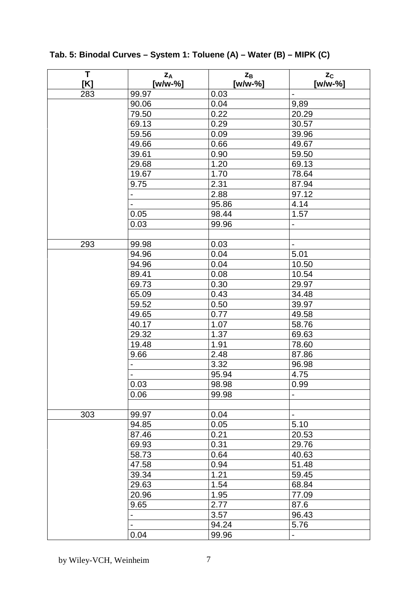| T<br>[K] | $Z_A$<br>[w/w-%] | $Z_{B}$<br>[w/w-%] | $z_c$<br>[w/w-%]             |
|----------|------------------|--------------------|------------------------------|
| 283      | 99.97            | 0.03               | $\overline{a}$               |
|          | 90.06            | 0.04               | 9,89                         |
|          | 79.50            | 0.22               | 20.29                        |
|          | 69.13            | 0.29               | 30.57                        |
|          | 59.56            | 0.09               | 39.96                        |
|          | 49.66            | 0.66               | 49.67                        |
|          | 39.61            | 0.90               | 59.50                        |
|          | 29.68            | 1.20               | 69.13                        |
|          | 19.67            | 1.70               | 78.64                        |
|          | 9.75             | 2.31               | 87.94                        |
|          |                  | 2.88               | 97.12                        |
|          |                  | 95.86              | 4.14                         |
|          | 0.05             | 98.44              | 1.57                         |
|          | 0.03             | 99.96              |                              |
|          |                  |                    |                              |
| 293      | 99.98            | 0.03               | $\blacksquare$               |
|          | 94.96            | 0.04               | 5.01                         |
|          | 94.96            | 0.04               | 10.50                        |
|          | 89.41            | 0.08               | 10.54                        |
|          | 69.73            | 0.30               | 29.97                        |
|          | 65.09            | 0.43               | 34.48                        |
|          | 59.52            | 0.50               | 39.97                        |
|          | 49.65            | 0.77               | 49.58                        |
|          | 40.17            | 1.07               | 58.76                        |
|          | 29.32            | 1.37               | 69.63                        |
|          | 19.48            | 1.91               | 78.60                        |
|          | 9.66             | 2.48               | 87.86                        |
|          |                  | 3.32               | 96.98                        |
|          |                  | 95.94              | 4.75                         |
|          | 0.03             | 98.98              | 0.99                         |
|          | 0.06             | 99.98              | $\qquad \qquad \blacksquare$ |
|          |                  |                    |                              |
| 303      | 99.97            | 0.04               | $\qquad \qquad \blacksquare$ |
|          | 94.85            | 0.05               | 5.10                         |
|          | 87.46            | 0.21               | 20.53                        |
|          | 69.93            | 0.31               | 29.76                        |
|          | 58.73            | 0.64               | 40.63                        |
|          | 47.58            | 0.94               | 51.48                        |
|          | 39.34            | 1.21               | 59.45                        |
|          | 29.63            | 1.54               | 68.84                        |
|          | 20.96            | 1.95               | 77.09                        |
|          | 9.65             | 2.77               | 87.6                         |
|          |                  | 3.57               | 96.43                        |
|          |                  | 94.24              | 5.76                         |
|          | 0.04             | 99.96              |                              |

**Tab. 5: Binodal Curves – System 1: Toluene (A) – Water (B) – MIPK (C)**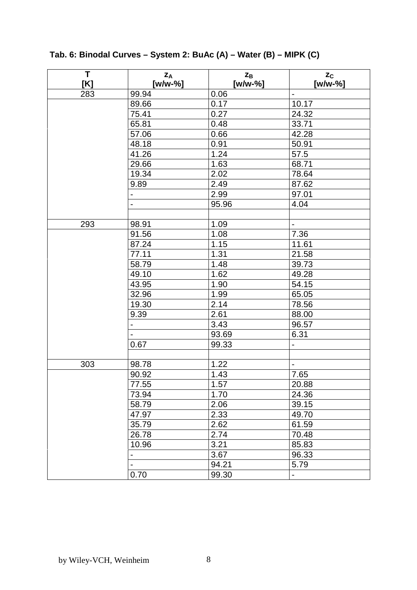**T [K] zA [w/w-%]**  $Z_{\rm B}$ **[w/w-%] zC [w/w-%]** 283 | 99.94 | 0.06 | -89.66 0.17 10.17 75.41 0.27 24.32 65.81 0.48 33.71 57.06 0.66 42.28 48.18 0.91 50.91 41.26 1.24 57.5 29.66 1.63 68.71 19.34 2.02 78.64 9.89 2.49 87.62 2.99 97.01 95.96 4.04 293 98.91 1.09 - 91.56 1.08 7.36 87.24 1.15 11.61 77.11 1.31 21.58 58.79 1.48 39.73 49.10 1.62 49.28 43.95 1.90 54.15 32.96 1.99 65.05 19.30 2.14 78.56 9.39 2.61 88.00 - 3.43 96.57 93.69 6.31  $0.67$  | 99.33 | -303 98.78 1.22 - 90.92 1.43 7.65 77.55 1.57 20.88 73.94 1.70 24.36 58.79 2.06 39.15 47.97 2.33 49.70 35.79 2.62 61.59 26.78 2.74 70.48 10.96 | 3.21 | 85.83 - 3.67 96.33 94.21 | 5.79  $0.70$  | 99.30 | -

**Tab. 6: Binodal Curves – System 2: BuAc (A) – Water (B) – MIPK (C)**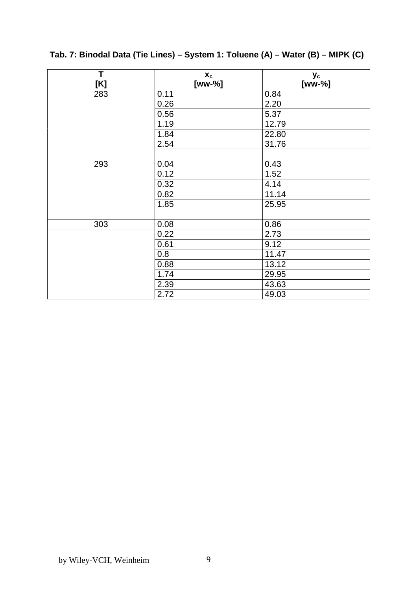| T   | $X_{C}$ | Уc     |
|-----|---------|--------|
| [K] | [ww-%]  | [ww-%] |
| 283 | 0.11    | 0.84   |
|     | 0.26    | 2.20   |
|     | 0.56    | 5.37   |
|     | 1.19    | 12.79  |
|     | 1.84    | 22.80  |
|     | 2.54    | 31.76  |
|     |         |        |
| 293 | 0.04    | 0.43   |
|     | 0.12    | 1.52   |
|     | 0.32    | 4.14   |
|     | 0.82    | 11.14  |
|     | 1.85    | 25.95  |
|     |         |        |
| 303 | 0.08    | 0.86   |
|     | 0.22    | 2.73   |
|     | 0.61    | 9.12   |
|     | 0.8     | 11.47  |
|     | 0.88    | 13.12  |
|     | 1.74    | 29.95  |
|     | 2.39    | 43.63  |
|     | 2.72    | 49.03  |

# **Tab. 7: Binodal Data (Tie Lines) – System 1: Toluene (A) – Water (B) – MIPK (C)**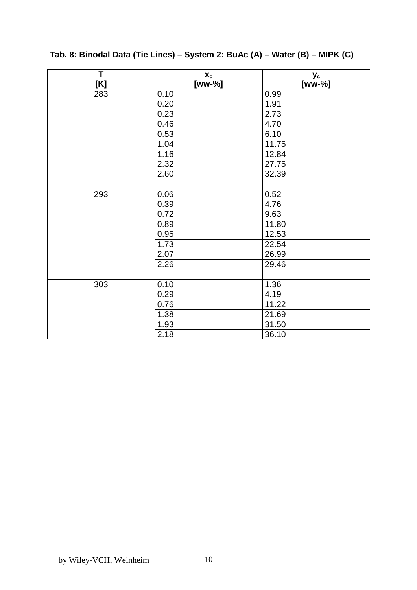| T<br>[K] | $X_{C}$<br>[ww-%] | Уc<br>[ww-%] |
|----------|-------------------|--------------|
| 283      | 0.10              | 0.99         |
|          | 0.20              | 1.91         |
|          | 0.23              | 2.73         |
|          | 0.46              | 4.70         |
|          | 0.53              | 6.10         |
|          | 1.04              | 11.75        |
|          | 1.16              | 12.84        |
|          | 2.32              | 27.75        |
|          | 2.60              | 32.39        |
|          |                   |              |
| 293      | 0.06              | 0.52         |
|          | 0.39              | 4.76         |
|          | 0.72              | 9.63         |
|          | 0.89              | 11.80        |
|          | 0.95              | 12.53        |
|          | 1.73              | 22.54        |
|          | 2.07              | 26.99        |
|          | 2.26              | 29.46        |
|          |                   |              |
| 303      | 0.10              | 1.36         |
|          | 0.29              | 4.19         |
|          | 0.76              | 11.22        |
|          | 1.38              | 21.69        |
|          | 1.93              | 31.50        |
|          | 2.18              | 36.10        |

# **Tab. 8: Binodal Data (Tie Lines) – System 2: BuAc (A) – Water (B) – MIPK (C)**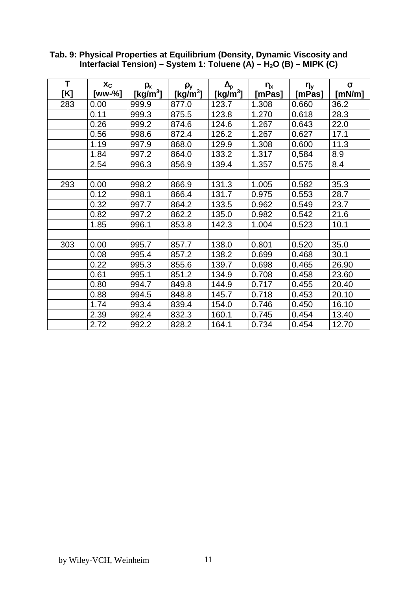| T<br>[K] | Xc<br>[ww-%] | $\rho_{x}$<br>[kg/m <sup>3</sup> ] | ρy<br>[kg/m <sup>3</sup> ] | $\Delta_{\mathsf{p}}$<br>[Kg/m <sup>3</sup> ] | $\eta_x$<br>[mPas] | $\eta_y$<br>[mPas] | $\sigma$<br>[mN/m] |
|----------|--------------|------------------------------------|----------------------------|-----------------------------------------------|--------------------|--------------------|--------------------|
| 283      | 0.00         | 999.9                              | 877.0                      | 123.7                                         | 1.308              | 0.660              | 36.2               |
|          | 0.11         | 999.3                              | 875.5                      | 123.8                                         | 1.270              | 0.618              | 28.3               |
|          |              |                                    |                            |                                               |                    |                    |                    |
|          | 0.26         | 999.2                              | 874.6                      | 124.6                                         | 1.267              | 0.643              | 22.0               |
|          | 0.56         | 998.6                              | 872.4                      | 126.2                                         | 1.267              | 0.627              | 17.1               |
|          | 1.19         | 997.9                              | 868.0                      | 129.9                                         | 1.308              | 0.600              | 11.3               |
|          | 1.84         | 997.2                              | 864.0                      | 133.2                                         | 1.317              | 0,584              | 8.9                |
|          | 2.54         | 996.3                              | 856.9                      | 139.4                                         | 1.357              | 0.575              | 8.4                |
|          |              |                                    |                            |                                               |                    |                    |                    |
| 293      | 0.00         | 998.2                              | 866.9                      | 131.3                                         | 1.005              | 0.582              | 35.3               |
|          | 0.12         | 998.1                              | 866.4                      | 131.7                                         | 0.975              | 0.553              | 28.7               |
|          | 0.32         | 997.7                              | 864.2                      | 133.5                                         | 0.962              | 0.549              | 23.7               |
|          | 0.82         | 997.2                              | 862.2                      | 135.0                                         | 0.982              | 0.542              | 21.6               |
|          | 1.85         | 996.1                              | 853.8                      | 142.3                                         | 1.004              | 0.523              | 10.1               |
|          |              |                                    |                            |                                               |                    |                    |                    |
| 303      | 0.00         | 995.7                              | 857.7                      | 138.0                                         | 0.801              | 0.520              | 35.0               |
|          | 0.08         | 995.4                              | 857.2                      | 138.2                                         | 0.699              | 0.468              | 30.1               |
|          | 0.22         | 995.3                              | 855.6                      | 139.7                                         | 0.698              | 0.465              | 26.90              |
|          | 0.61         | 995.1                              | 851.2                      | 134.9                                         | 0.708              | 0.458              | 23.60              |
|          | 0.80         | 994.7                              | 849.8                      | 144.9                                         | 0.717              | 0.455              | 20.40              |
|          | 0.88         | 994.5                              | 848.8                      | 145.7                                         | 0.718              | 0.453              | 20.10              |
|          | 1.74         | 993.4                              | 839.4                      | 154.0                                         | 0.746              | 0.450              | 16.10              |
|          | 2.39         | 992.4                              | 832.3                      | 160.1                                         | 0.745              | 0.454              | 13.40              |
|          | 2.72         | 992.2                              | 828.2                      | 164.1                                         | 0.734              | 0.454              | 12.70              |

**Tab. 9: Physical Properties at Equilibrium (Density, Dynamic Viscosity and** Interfacial Tension) – System 1: Toluene (A) – H<sub>2</sub>O (B) – MIPK (C)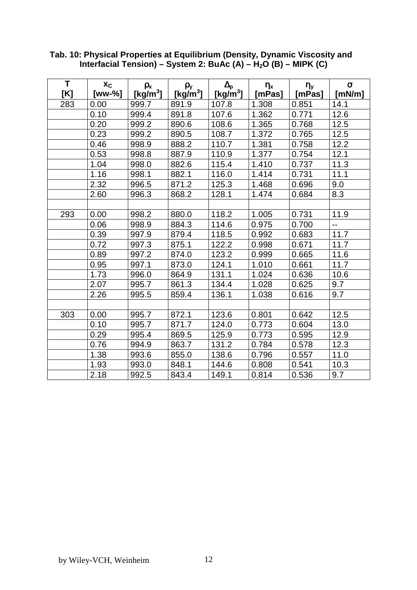| T<br>[K] | $x_c$<br>[ww-%] | $\rho_{x}$<br>[kg/m <sup>3</sup> ] | $\rho_y$<br>[kg/m $^3$ ] | $\Delta_{p}$<br>[Kg/m <sup>3</sup> ] | $\eta_x$<br>[mPas] | $\eta_y$<br>[mPas] | $\sigma$<br>[ $mN/m$ ] |
|----------|-----------------|------------------------------------|--------------------------|--------------------------------------|--------------------|--------------------|------------------------|
| 283      | 0.00            | 999.7                              | 891.9                    | 107.8                                | 1.308              | 0.851              | 14.1                   |
|          | 0.10            | 999.4                              | 891.8                    | 107.6                                | 1.362              | 0.771              | 12.6                   |
|          | 0.20            | 999.2                              | 890.6                    | 108.6                                | 1.365              | 0.768              | 12.5                   |
|          | 0.23            | 999.2                              | 890.5                    | 108.7                                | 1.372              | 0.765              | 12.5                   |
|          | 0.46            | 998.9                              | 888.2                    | 110.7                                | 1.381              | 0.758              | 12.2                   |
|          | 0.53            | 998.8                              | 887.9                    | 110.9                                | 1.377              | 0.754              | 12.1                   |
|          | 1.04            | 998.0                              | 882.6                    | 115.4                                | 1.410              | 0.737              | 11.3                   |
|          | 1.16            | 998.1                              | 882.1                    | 116.0                                | 1.414              | 0.731              | 11.1                   |
|          | 2.32            | 996.5                              | 871.2                    | 125.3                                | 1.468              | 0.696              | 9.0                    |
|          | 2.60            | 996.3                              | 868.2                    | 128.1                                | 1.474              | 0.684              | 8.3                    |
|          |                 |                                    |                          |                                      |                    |                    |                        |
| 293      | 0.00            | 998.2                              | 880.0                    | 118.2                                | 1.005              | 0.731              | 11.9                   |
|          | 0.06            | 998.9                              | 884.3                    | 114.6                                | 0.975              | 0.700              | $\overline{a}$         |
|          | 0.39            | 997.9                              | 879.4                    | 118.5                                | 0.992              | 0.683              | 11.7                   |
|          | 0.72            | 997.3                              | 875.1                    | 122.2                                | 0.998              | 0.671              | 11.7                   |
|          | 0.89            | 997.2                              | 874.0                    | 123.2                                | 0.999              | 0.665              | 11.6                   |
|          | 0.95            | 997.1                              | 873.0                    | 124.1                                | 1.010              | 0.661              | 11.7                   |
|          | 1.73            | 996.0                              | 864.9                    | 131.1                                | 1.024              | 0.636              | 10.6                   |
|          | 2.07            | 995.7                              | 861.3                    | 134.4                                | 1.028              | 0.625              | 9.7                    |
|          | 2.26            | 995.5                              | 859.4                    | 136.1                                | 1.038              | 0.616              | 9.7                    |
|          |                 |                                    |                          |                                      |                    |                    |                        |
| 303      | 0.00            | 995.7                              | 872.1                    | 123.6                                | 0.801              | 0.642              | 12.5                   |
|          | 0.10            | 995.7                              | 871.7                    | 124.0                                | 0.773              | 0.604              | 13.0                   |
|          | 0.29            | 995.4                              | 869.5                    | 125.9                                | 0.773              | 0.595              | 12.9                   |
|          | 0.76            | 994.9                              | 863.7                    | 131.2                                | 0.784              | 0.578              | 12.3                   |
|          | 1.38            | 993.6                              | 855.0                    | 138.6                                | 0.796              | 0.557              | 11.0                   |
|          | 1.93            | 993.0                              | 848.1                    | 144.6                                | 0.808              | 0.541              | 10.3                   |
|          | 2.18            | 992.5                              | 843.4                    | 149.1                                | 0.814              | 0.536              | 9.7                    |

**Tab. 10: Physical Properties at Equilibrium (Density, Dynamic Viscosity and** Interfacial Tension) – System 2: BuAc (A) – H<sub>2</sub>O (B) – MIPK (C)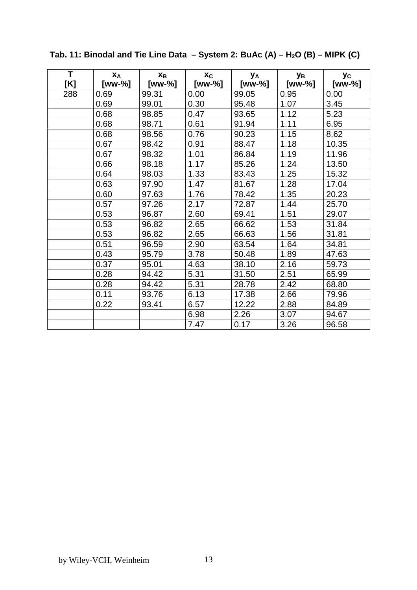| T<br>[K] | XA<br>[ww-%] | $X_{B}$<br>[ww-%] | Xc<br>[ww-%] | Уд<br>[ww-%] | Ув<br>[ww-%] | Уc<br>[ww-%] |
|----------|--------------|-------------------|--------------|--------------|--------------|--------------|
| 288      | 0.69         | 99.31             | 0.00         | 99.05        | 0.95         | 0.00         |
|          | 0.69         | 99.01             | 0.30         | 95.48        | 1.07         | 3.45         |
|          | 0.68         | 98.85             | 0.47         | 93.65        | 1.12         | 5.23         |
|          | 0.68         | 98.71             | 0.61         | 91.94        | 1.11         | 6.95         |
|          | 0.68         | 98.56             | 0.76         | 90.23        | 1.15         | 8.62         |
|          | 0.67         | 98.42             | 0.91         | 88.47        | 1.18         | 10.35        |
|          | 0.67         | 98.32             | 1.01         | 86.84        | 1.19         | 11.96        |
|          | 0.66         | 98.18             | 1.17         | 85.26        | 1.24         | 13.50        |
|          | 0.64         | 98.03             | 1.33         | 83.43        | 1.25         | 15.32        |
|          | 0.63         | 97.90             | 1.47         | 81.67        | 1.28         | 17.04        |
|          | 0.60         | 97.63             | 1.76         | 78.42        | 1.35         | 20.23        |
|          | 0.57         | 97.26             | 2.17         | 72.87        | 1.44         | 25.70        |
|          | 0.53         | 96.87             | 2.60         | 69.41        | 1.51         | 29.07        |
|          | 0.53         | 96.82             | 2.65         | 66.62        | 1.53         | 31.84        |
|          | 0.53         | 96.82             | 2.65         | 66.63        | 1.56         | 31.81        |
|          | 0.51         | 96.59             | 2.90         | 63.54        | 1.64         | 34.81        |
|          | 0.43         | 95.79             | 3.78         | 50.48        | 1.89         | 47.63        |
|          | 0.37         | 95.01             | 4.63         | 38.10        | 2.16         | 59.73        |
|          | 0.28         | 94.42             | 5.31         | 31.50        | 2.51         | 65.99        |
|          | 0.28         | 94.42             | 5.31         | 28.78        | 2.42         | 68.80        |
|          | 0.11         | 93.76             | 6.13         | 17.38        | 2.66         | 79.96        |
|          | 0.22         | 93.41             | 6.57         | 12.22        | 2.88         | 84.89        |
|          |              |                   | 6.98         | 2.26         | 3.07         | 94.67        |
|          |              |                   | 7.47         | 0.17         | 3.26         | 96.58        |

# Tab. 11: Binodal and Tie Line Data  $-$  System 2: BuAc (A)  $-$  H<sub>2</sub>O (B)  $-$  MIPK (C)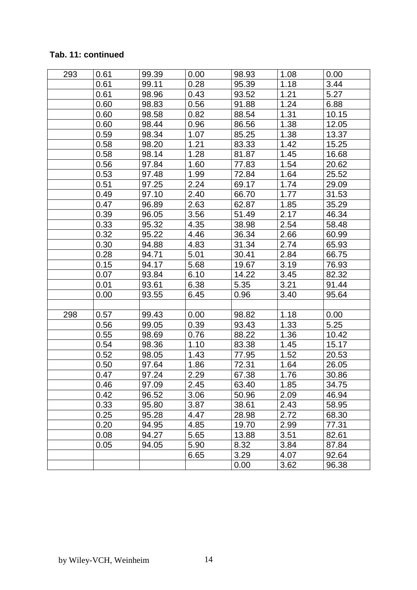## **Tab. 11: continued**

| 293 | 0.61 | 99.39 | 0.00 | 98.93 | 1.08 | 0.00  |
|-----|------|-------|------|-------|------|-------|
|     | 0.61 | 99.11 | 0.28 | 95.39 | 1.18 | 3.44  |
|     | 0.61 | 98.96 | 0.43 | 93.52 | 1.21 | 5.27  |
|     | 0.60 | 98.83 | 0.56 | 91.88 | 1.24 | 6.88  |
|     | 0.60 | 98.58 | 0.82 | 88.54 | 1.31 | 10.15 |
|     | 0.60 | 98.44 | 0.96 | 86.56 | 1.38 | 12.05 |
|     | 0.59 | 98.34 | 1.07 | 85.25 | 1.38 | 13.37 |
|     | 0.58 | 98.20 | 1.21 | 83.33 | 1.42 | 15.25 |
|     | 0.58 | 98.14 | 1.28 | 81.87 | 1.45 | 16.68 |
|     | 0.56 | 97.84 | 1.60 | 77.83 | 1.54 | 20.62 |
|     | 0.53 | 97.48 | 1.99 | 72.84 | 1.64 | 25.52 |
|     | 0.51 | 97.25 | 2.24 | 69.17 | 1.74 | 29.09 |
|     | 0.49 | 97.10 | 2.40 | 66.70 | 1.77 | 31.53 |
|     | 0.47 | 96.89 | 2.63 | 62.87 | 1.85 | 35.29 |
|     | 0.39 | 96.05 | 3.56 | 51.49 | 2.17 | 46.34 |
|     | 0.33 | 95.32 | 4.35 | 38.98 | 2.54 | 58.48 |
|     | 0.32 | 95.22 | 4.46 | 36.34 | 2.66 | 60.99 |
|     | 0.30 | 94.88 | 4.83 | 31.34 | 2.74 | 65.93 |
|     | 0.28 | 94.71 | 5.01 | 30.41 | 2.84 | 66.75 |
|     | 0.15 | 94.17 | 5.68 | 19.67 | 3.19 | 76.93 |
|     | 0.07 | 93.84 | 6.10 | 14.22 | 3.45 | 82.32 |
|     | 0.01 | 93.61 | 6.38 | 5.35  | 3.21 | 91.44 |
|     | 0.00 | 93.55 | 6.45 | 0.96  | 3.40 | 95.64 |
|     |      |       |      |       |      |       |
| 298 | 0.57 | 99.43 | 0.00 | 98.82 | 1.18 | 0.00  |
|     | 0.56 | 99.05 | 0.39 | 93.43 | 1.33 | 5.25  |
|     | 0.55 | 98.69 | 0.76 | 88.22 | 1.36 | 10.42 |
|     | 0.54 | 98.36 | 1.10 | 83.38 | 1.45 | 15.17 |
|     | 0.52 | 98.05 | 1.43 | 77.95 | 1.52 | 20.53 |
|     | 0.50 | 97.64 | 1.86 | 72.31 | 1.64 | 26.05 |
|     | 0.47 | 97.24 | 2.29 | 67.38 | 1.76 | 30.86 |
|     | 0.46 | 97.09 | 2.45 | 63.40 | 1.85 | 34.75 |
|     | 0.42 | 96.52 | 3.06 | 50.96 | 2.09 | 46.94 |
|     | 0.33 | 95.80 | 3.87 | 38.61 | 2.43 | 58.95 |
|     | 0.25 | 95.28 | 4.47 | 28.98 | 2.72 | 68.30 |
|     | 0.20 | 94.95 | 4.85 | 19.70 | 2.99 | 77.31 |
|     | 0.08 | 94.27 | 5.65 | 13.88 | 3.51 | 82.61 |
|     | 0.05 | 94.05 | 5.90 | 8.32  | 3.84 | 87.84 |
|     |      |       | 6.65 | 3.29  | 4.07 | 92.64 |
|     |      |       |      | 0.00  | 3.62 | 96.38 |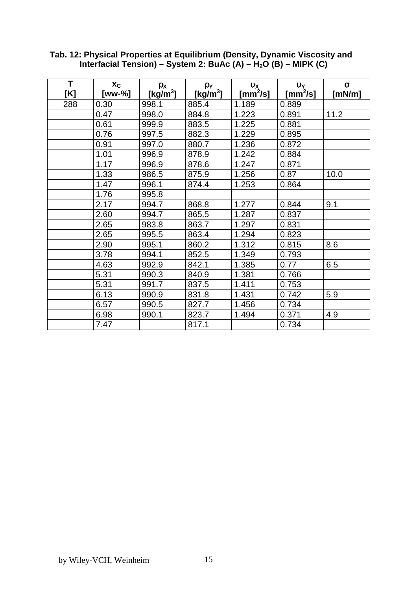| T<br>[K] | Xc<br>[ww-%] | ρx<br>[kg/m <sup>3</sup> ] | ρY<br>[kg/m <sup>3</sup> ] | $\mathbf{v}$<br>$\textsf{[mm}^2\textsf{/s]}$ | $v_Y$<br>[mm $^2$ /s] | $\sigma$<br>[mN/m] |
|----------|--------------|----------------------------|----------------------------|----------------------------------------------|-----------------------|--------------------|
| 288      | 0.30         | 998.1                      | 885.4                      | 1.189                                        | 0.889                 |                    |
|          | 0.47         | 998.0                      | 884.8                      | 1.223                                        | 0.891                 | 11.2               |
|          | 0.61         | 999.9                      | 883.5                      | 1.225                                        | 0.881                 |                    |
|          | 0.76         | 997.5                      | 882.3                      | 1.229                                        | 0.895                 |                    |
|          | 0.91         | 997.0                      | 880.7                      | 1.236                                        | 0.872                 |                    |
|          | 1.01         | 996.9                      | 878.9                      | 1.242                                        | 0.884                 |                    |
|          | 1.17         | 996.9                      | 878.6                      | 1.247                                        | 0.871                 |                    |
|          | 1.33         | 986.5                      | 875.9                      | 1.256                                        | 0.87                  | 10.0               |
|          | 1.47         | 996.1                      | 874.4                      | 1.253                                        | 0.864                 |                    |
|          | 1.76         | 995.8                      |                            |                                              |                       |                    |
|          | 2.17         | 994.7                      | 868.8                      | 1.277                                        | 0.844                 | 9.1                |
|          | 2.60         | 994.7                      | 865.5                      | 1.287                                        | 0.837                 |                    |
|          | 2.65         | 983.8                      | 863.7                      | 1.297                                        | 0.831                 |                    |
|          | 2.65         | 995.5                      | 863.4                      | 1.294                                        | 0.823                 |                    |
|          | 2.90         | 995.1                      | 860.2                      | 1.312                                        | 0.815                 | 8.6                |
|          | 3.78         | 994.1                      | 852.5                      | 1.349                                        | 0.793                 |                    |
|          | 4.63         | 992.9                      | 842.1                      | 1.385                                        | 0.77                  | 6.5                |
|          | 5.31         | 990.3                      | 840.9                      | 1.381                                        | 0.766                 |                    |
|          | 5.31         | 991.7                      | 837.5                      | 1.411                                        | 0.753                 |                    |
|          | 6.13         | 990.9                      | 831.8                      | 1.431                                        | 0.742                 | 5.9                |
|          | 6.57         | 990.5                      | 827.7                      | 1.456                                        | 0.734                 |                    |
|          | 6.98         | 990.1                      | 823.7                      | 1.494                                        | 0.371                 | 4.9                |
|          | 7.47         |                            | 817.1                      |                                              | 0.734                 |                    |

#### **Tab. 12: Physical Properties at Equilibrium (Density, Dynamic Viscosity and** Interfacial Tension) – System 2: BuAc (A) – H<sub>2</sub>O (B) – MIPK (C)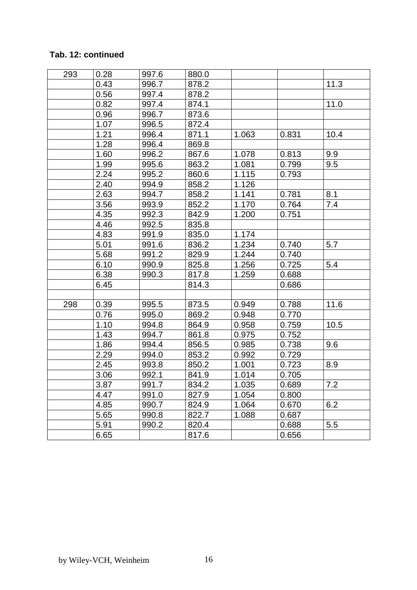## **Tab. 12: continued**

| 293 | 0.28 | 997.6 | 880.0 |       |       |      |
|-----|------|-------|-------|-------|-------|------|
|     | 0.43 | 996.7 | 878.2 |       |       | 11.3 |
|     | 0.56 | 997.4 | 878.2 |       |       |      |
|     | 0.82 | 997.4 | 874.1 |       |       | 11.0 |
|     | 0.96 | 996.7 | 873.6 |       |       |      |
|     | 1.07 | 996.5 | 872.4 |       |       |      |
|     | 1.21 | 996.4 | 871.1 | 1.063 | 0.831 | 10.4 |
|     | 1.28 | 996.4 | 869.8 |       |       |      |
|     | 1.60 | 996.2 | 867.6 | 1.078 | 0.813 | 9.9  |
|     | 1.99 | 995.6 | 863.2 | 1.081 | 0.799 | 9.5  |
|     | 2.24 | 995.2 | 860.6 | 1.115 | 0.793 |      |
|     | 2.40 | 994.9 | 858.2 | 1.126 |       |      |
|     | 2.63 | 994.7 | 858.2 | 1.141 | 0.781 | 8.1  |
|     | 3.56 | 993.9 | 852.2 | 1.170 | 0.764 | 7.4  |
|     | 4.35 | 992.3 | 842.9 | 1.200 | 0.751 |      |
|     | 4.46 | 992.5 | 835.8 |       |       |      |
|     | 4.83 | 991.9 | 835.0 | 1.174 |       |      |
|     | 5.01 | 991.6 | 836.2 | 1.234 | 0.740 | 5.7  |
|     | 5.68 | 991.2 | 829.9 | 1.244 | 0.740 |      |
|     | 6.10 | 990.9 | 825.8 | 1.256 | 0.725 | 5.4  |
|     | 6.38 | 990.3 | 817.8 | 1.259 | 0.688 |      |
|     | 6.45 |       | 814.3 |       | 0.686 |      |
|     |      |       |       |       |       |      |
| 298 | 0.39 | 995.5 | 873.5 | 0.949 | 0.788 | 11.6 |
|     | 0.76 | 995.0 | 869.2 | 0.948 | 0.770 |      |
|     | 1.10 | 994.8 | 864.9 | 0.958 | 0.759 | 10.5 |
|     | 1.43 | 994.7 | 861.8 | 0.975 | 0.752 |      |
|     | 1.86 | 994.4 | 856.5 | 0.985 | 0.738 | 9.6  |
|     | 2.29 | 994.0 | 853.2 | 0.992 | 0.729 |      |
|     | 2.45 | 993.8 | 850.2 | 1.001 | 0.723 | 8.9  |
|     | 3.06 | 992.1 | 841.9 | 1.014 | 0.705 |      |
|     | 3.87 | 991.7 | 834.2 | 1.035 | 0.689 | 7.2  |
|     | 4.47 | 991.0 | 827.9 | 1.054 | 0.800 |      |
|     | 4.85 | 990.7 | 824.9 | 1.064 | 0.670 | 6.2  |
|     | 5.65 | 990.8 | 822.7 | 1.088 | 0.687 |      |
|     | 5.91 | 990.2 | 820.4 |       | 0.688 | 5.5  |
|     | 6.65 |       | 817.6 |       | 0.656 |      |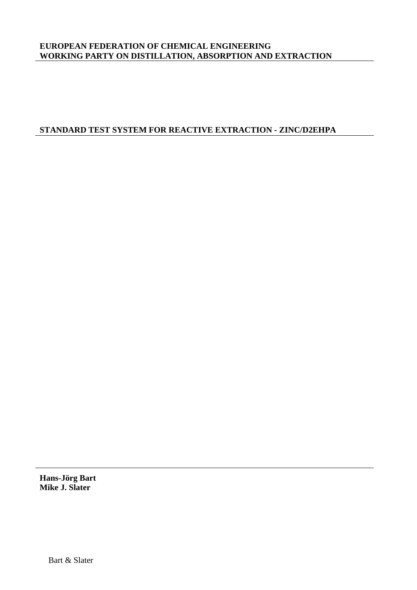#### **EUROPEAN FEDERATION OF CHEMICAL ENGINEERING WORKING PARTY ON DISTILLATION, ABSORPTION AND EXTRACTION**

### **STANDARD TEST SYSTEM FOR REACTIVE EXTRACTION - ZINC/D2EHPA**

**Hans-Jörg Bart Mike J. Slater**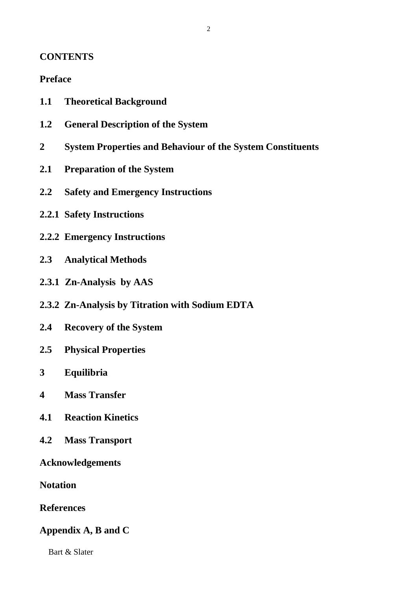## **CONTENTS**

## **Preface**

- **1.1 Theoretical Background**
- **1.2 General Description of the System**
- **2 System Properties and Behaviour of the System Constituents**
- **2.1 Preparation of the System**
- **2.2 Safety and Emergency Instructions**
- **2.2.1 Safety Instructions**
- **2.2.2 Emergency Instructions**
- **2.3 Analytical Methods**
- **2.3.1 Zn-Analysis by AAS**
- **2.3.2 Zn-Analysis by Titration with Sodium EDTA**
- **2.4 Recovery of the System**
- **2.5 Physical Properties**
- **3 Equilibria**
- **4 Mass Transfer**
- **4.1 Reaction Kinetics**
- **4.2 Mass Transport**

**Acknowledgements**

**Notation**

**References**

## **Appendix A, B and C**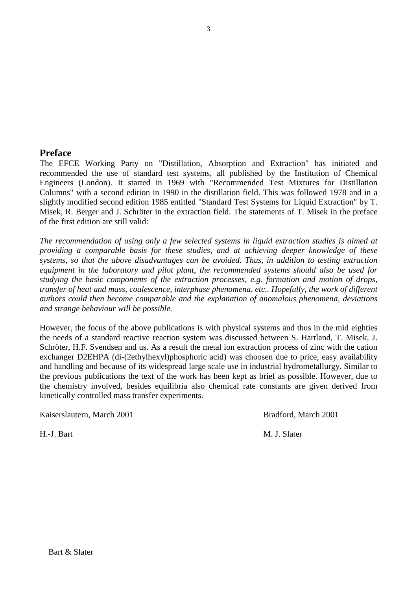#### **Preface**

The EFCE Working Party on "Distillation, Absorption and Extraction" has initiated and recommended the use of standard test systems, all published by the Institution of Chemical Engineers (London). It started in 1969 with "Recommended Test Mixtures for Distillation Columns" with a second edition in 1990 in the distillation field. This was followed 1978 and in a slightly modified second edition 1985 entitled "Standard Test Systems for Liquid Extraction" by T. Misek, R. Berger and J. Schröter in the extraction field. The statements of T. Misek in the preface of the first edition are still valid:

*The recommendation of using only a few selected systems in liquid extraction studies is aimed at providing a comparable basis for these studies, and at achieving deeper knowledge of these systems, so that the above disadvantages can be avoided. Thus, in addition to testing extraction equipment in the laboratory and pilot plant, the recommended systems should also be used for studying the basic components of the extraction processes, e.g. formation and motion of drops, transfer of heat and mass, coalescence, interphase phenomena, etc.. Hopefully, the work of different authors could then become comparable and the explanation of anomalous phenomena, deviations and strange behaviour will be possible.*

However, the focus of the above publications is with physical systems and thus in the mid eighties the needs of a standard reactive reaction system was discussed between S. Hartland, T. Misek, J. Schröter, H.F. Svendsen and us. As a result the metal ion extraction process of zinc with the cation exchanger D2EHPA (di-(2ethylhexyl)phosphoric acid) was choosen due to price, easy availability and handling and because of its widespread large scale use in industrial hydrometallurgy. Similar to the previous publications the text of the work has been kept as brief as possible. However, due to the chemistry involved, besides equilibria also chemical rate constants are given derived from kinetically controlled mass transfer experiments.

Kaiserslautern, March 2001 Bradford, March 2001

H.-J. Bart M. J. Slater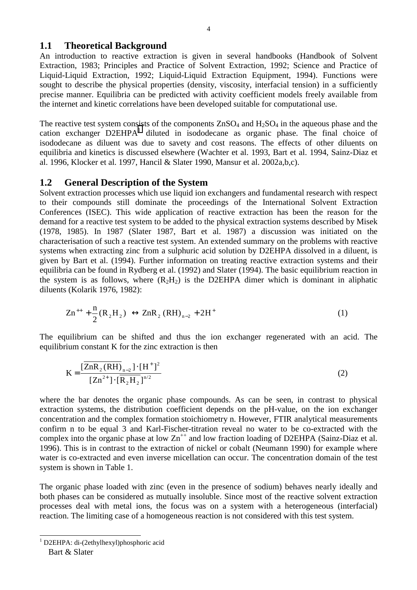#### **1.1 Theoretical Background**

An introduction to reactive extraction is given in several handbooks (Handbook of Solvent Extraction, 1983; Principles and Practice of Solvent Extraction, 1992; Science and Practice of Liquid-Liquid Extraction, 1992; Liquid-Liquid Extraction Equipment, 1994). Functions were sought to describe the physical properties (density, viscosity, interfacial tension) in a sufficiently precise manner. Equilibria can be predicted with activity coefficient models freely available from the internet and kinetic correlations have been developed suitable for computational use.

The reactive test system consists of the components  $ZnSO_4$  and  $H_2SO_4$  in the aqueous phase and the cation exchanger  $D2EHPA<sup>1</sup>$  diluted in isododecane as organic phase. The final choice of isododecane as diluent was due to savety and cost reasons. The effects of other diluents on equilibria and kinetics is discussed elsewhere (Wachter et al. 1993, Bart et al. 1994, Sainz-Diaz et al. 1996, Klocker et al. 1997, Hancil & Slater 1990, Mansur et al. 2002a,b,c).

## **1.2 General Description of the System**

Solvent extraction processes which use liquid ion exchangers and fundamental research with respect to their compounds still dominate the proceedings of the International Solvent Extraction Conferences (ISEC). This wide application of reactive extraction has been the reason for the demand for a reactive test system to be added to the physical extraction systems described by Misek (1978, 1985). In 1987 (Slater 1987, Bart et al. 1987) a discussion was initiated on the characterisation of such a reactive test system. An extended summary on the problems with reactive systems when extracting zinc from a sulphuric acid solution by D2EHPA dissolved in a diluent, is given by Bart et al. (1994). Further information on treating reactive extraction systems and their equilibria can be found in Rydberg et al. (1992) and Slater (1994). The basic equilibrium reaction in the system is as follows, where  $(R_2H_2)$  is the D2EHPA dimer which is dominant in aliphatic diluents (Kolarik 1976, 1982):

$$
Zn^{++} + \frac{n}{2}(R_2H_2) \leftrightarrow ZnR_2 (RH)_{n-2} + 2H^+ \tag{1}
$$

The equilibrium can be shifted and thus the ion exchanger regenerated with an acid. The equilibrium constant K for the zinc extraction is then

$$
K = \frac{\left[\overline{ZnR}_{2}(RH)\right]_{n-2} \cdot \left[H^{+}\right]^{2}}{\left[Zn^{2+}\right] \cdot \left[\overline{R}_{2}H_{2}\right]^{n/2}}
$$
\n(2)

where the bar denotes the organic phase compounds. As can be seen, in contrast to physical extraction systems, the distribution coefficient depends on the pH-value, on the ion exchanger concentration and the complex formation stoichiometry n. However, FTIR analytical measurements confirm n to be equal 3 and Karl-Fischer-titration reveal no water to be co-extracted with the complex into the organic phase at low  $\text{Zn}^{++}$  and low fraction loading of D2EHPA (Sainz-Diaz et al. 1996). This is in contrast to the extraction of nickel or cobalt (Neumann 1990) for example where water is co-extracted and even inverse micellation can occur. The concentration domain of the test system is shown in Table 1.

The organic phase loaded with zinc (even in the presence of sodium) behaves nearly ideally and both phases can be considered as mutually insoluble. Since most of the reactive solvent extraction processes deal with metal ions, the focus was on a system with a heterogeneous (interfacial) reaction. The limiting case of a homogeneous reaction is not considered with this test system.

 $\overline{\phantom{a}}$ 

<sup>1</sup> D2EHPA: di-(2ethylhexyl)phosphoric acid

Bart & Slater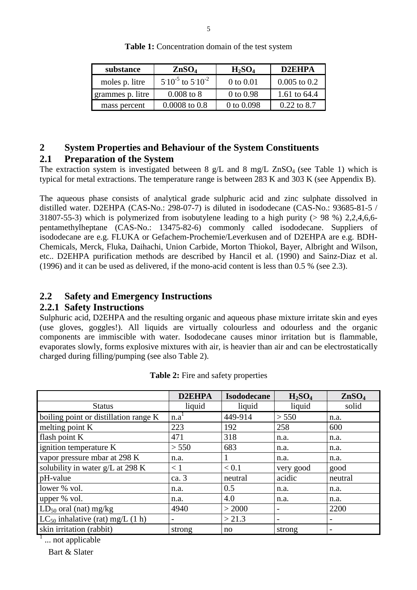| substance        | ZnSO <sub>4</sub>          | $H_2SO_4$    | D2EHPA           |  |
|------------------|----------------------------|--------------|------------------|--|
| moles p. litre   | $5.10^{-5}$ to $5.10^{-2}$ | 0 to 0.01    | $0.005$ to $0.2$ |  |
| grammes p. litre | $0.008$ to $8$             | 0 to 0.98    | 1.61 to 64.4     |  |
| mass percent     | $0.0008$ to $0.8$          | 0 to $0.098$ | $0.22$ to 8.7    |  |

**Table 1:** Concentration domain of the test system

## **2 System Properties and Behaviour of the System Constituents**

## **2.1 Preparation of the System**

The extraction system is investigated between 8  $g/L$  and 8 mg/L ZnSO<sub>4</sub> (see Table 1) which is typical for metal extractions. The temperature range is between 283 K and 303 K (see Appendix B).

The aqueous phase consists of analytical grade sulphuric acid and zinc sulphate dissolved in distilled water. D2EHPA (CAS-No.: 298-07-7) is diluted in isododecane (CAS-No.: 93685-81-5 / 31807-55-3) which is polymerized from isobutylene leading to a high purity (> 98 %) 2,2,4,6,6 pentamethylheptane (CAS-No.: 13475-82-6) commonly called isododecane. Suppliers of isododecane are e.g. FLUKA or Gefachem-Prochemie/Leverkusen and of D2EHPA are e.g. BDH-Chemicals, Merck, Fluka, Daihachi, Union Carbide, Morton Thiokol, Bayer, Albright and Wilson, etc.. D2EHPA purification methods are described by Hancil et al. (1990) and Sainz-Diaz et al. (1996) and it can be used as delivered, if the mono-acid content is less than 0.5 % (see 2.3).

## **2.2 Safety and Emergency Instructions**

## **2.2.1 Safety Instructions**

Sulphuric acid, D2EHPA and the resulting organic and aqueous phase mixture irritate skin and eyes (use gloves, goggles!). All liquids are virtually colourless and odourless and the organic components are immiscible with water. Isododecane causes minor irritation but is flammable, evaporates slowly, forms explosive mixtures with air, is heavier than air and can be electrostatically charged during filling/pumping (see also Table 2).

|                                       | D2EHPA           | <b>Isododecane</b> | $H_2SO_4$                | ZnSO <sub>4</sub> |
|---------------------------------------|------------------|--------------------|--------------------------|-------------------|
| <b>Status</b>                         | liquid           | liquid             | liquid                   | solid             |
| boiling point or distillation range K | n.a <sup>T</sup> | 449-914            | > 550                    | n.a.              |
| melting point K                       | 223              | 192                | 258                      | 600               |
| flash point K                         | 471              | 318                | n.a.                     | n.a.              |
| ignition temperature K                | > 550            | 683                | n.a.                     | n.a.              |
| vapor pressure mbar at 298 K          | n.a.             |                    | n.a.                     | n.a.              |
| solubility in water g/L at 298 K      | < 1              | < 0.1              | very good                | good              |
| pH-value                              | ca. 3            | neutral            | acidic                   | neutral           |
| lower % vol.                          | n.a.             | 0.5                | n.a.                     | n.a.              |
| upper % vol.                          | n.a.             | 4.0                | n.a.                     | n.a.              |
| $LD_{50}$ oral (nat) mg/kg            | 4940             | > 2000             | $\overline{\phantom{0}}$ | 2200              |
| $LC_{50}$ inhalative (rat) mg/L (1 h) | $\overline{a}$   | > 21.3             | $\overline{\phantom{a}}$ |                   |
| skin irritation (rabbit)              | strong           | no                 | strong                   | -                 |

**Table 2:** Fire and safety properties

 Bart & Slater  $\frac{1}{1}$  ... not applicable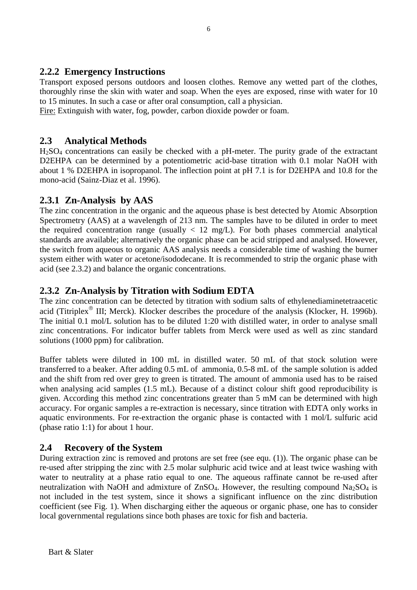## **2.2.2 Emergency Instructions**

Transport exposed persons outdoors and loosen clothes. Remove any wetted part of the clothes, thoroughly rinse the skin with water and soap. When the eyes are exposed, rinse with water for 10 to 15 minutes. In such a case or after oral consumption, call a physician.

Fire: Extinguish with water, fog, powder, carbon dioxide powder or foam.

## **2.3 Analytical Methods**

 $H<sub>2</sub>SO<sub>4</sub>$  concentrations can easily be checked with a pH-meter. The purity grade of the extractant D2EHPA can be determined by a potentiometric acid-base titration with 0.1 molar NaOH with about 1 % D2EHPA in isopropanol. The inflection point at pH 7.1 is for D2EHPA and 10.8 for the mono-acid (Sainz-Diaz et al. 1996).

## **2.3.1 Zn-Analysis by AAS**

The zinc concentration in the organic and the aqueous phase is best detected by Atomic Absorption Spectrometry (AAS) at a wavelength of 213 nm. The samples have to be diluted in order to meet the required concentration range (usually  $\langle 12 \text{ mg/L} \rangle$ . For both phases commercial analytical standards are available; alternatively the organic phase can be acid stripped and analysed. However, the switch from aqueous to organic AAS analysis needs a considerable time of washing the burner system either with water or acetone/isododecane. It is recommended to strip the organic phase with acid (see 2.3.2) and balance the organic concentrations.

## **2.3.2 Zn-Analysis by Titration with Sodium EDTA**

The zinc concentration can be detected by titration with sodium salts of ethylenediaminetetraacetic acid (Titriplex<sup>®</sup> III; Merck). Klocker describes the procedure of the analysis (Klocker, H. 1996b). The initial 0.1 mol/L solution has to be diluted 1:20 with distilled water, in order to analyse small zinc concentrations. For indicator buffer tablets from Merck were used as well as zinc standard solutions (1000 ppm) for calibration.

Buffer tablets were diluted in 100 mL in distilled water. 50 mL of that stock solution were transferred to a beaker. After adding 0.5 mL of ammonia, 0.5-8 mL of the sample solution is added and the shift from red over grey to green is titrated. The amount of ammonia used has to be raised when analysing acid samples (1.5 mL). Because of a distinct colour shift good reproducibility is given. According this method zinc concentrations greater than 5 mM can be determined with high accuracy. For organic samples a re-extraction is necessary, since titration with EDTA only works in aquatic environments. For re-extraction the organic phase is contacted with 1 mol/L sulfuric acid (phase ratio 1:1) for about 1 hour.

## **2.4 Recovery of the System**

During extraction zinc is removed and protons are set free (see equ. (1)). The organic phase can be re-used after stripping the zinc with 2.5 molar sulphuric acid twice and at least twice washing with water to neutrality at a phase ratio equal to one. The aqueous raffinate cannot be re-used after neutralization with NaOH and admixture of  $ZnSO<sub>4</sub>$ . However, the resulting compound Na<sub>2</sub>SO<sub>4</sub> is not included in the test system, since it shows a significant influence on the zinc distribution coefficient (see Fig. 1). When discharging either the aqueous or organic phase, one has to consider local governmental regulations since both phases are toxic for fish and bacteria.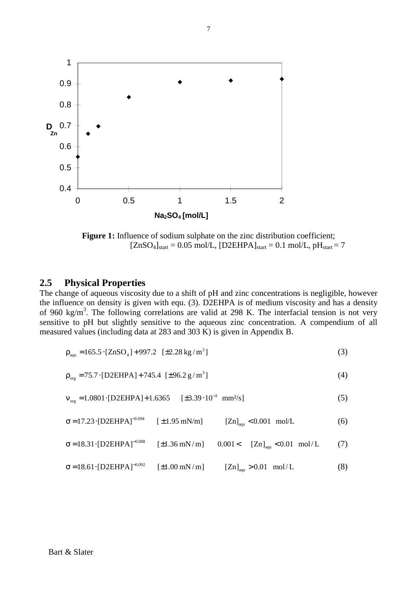

**Figure 1:** Influence of sodium sulphate on the zinc distribution coefficient;  $[ZnSO_4]_{start} = 0.05$  mol/L,  $[D2EHPA]_{start} = 0.1$  mol/L,  $pH_{start} = 7$ 

#### **2.5 Physical Properties**

The change of aqueous viscosity due to a shift of pH and zinc concentrations is negligible, however the influence on density is given with equ. (3). D2EHPA is of medium viscosity and has a density of 960 kg/m<sup>3</sup>. The following correlations are valid at 298 K. The interfacial tension is not very sensitive to pH but slightly sensitive to the aqueous zinc concentration. A compendium of all measured values (including data at 283 and 303 K) is given in Appendix B.

$$
\rho_{\text{aqu}} = 165.5 \cdot [ZnSO_4] + 997.2 \quad [\pm 2.28 \text{ kg/m}^3] \tag{3}
$$

$$
\rho_{\text{org}} = 75.7 \cdot \text{[D2EHPA]} + 745.4 \text{ [±}96.2 \text{ g/m}^3 \text{]}
$$
 (4)

$$
v_{\text{org}} = 1.0801 \cdot [D2EHPA] + 1.6365 \quad [\pm 3.39 \cdot 10^{-3} \text{ mm}^2/\text{s}] \tag{5}
$$

$$
\sigma = 17.23 \cdot [D2EHPA]^{-0.094} \qquad [\pm 1.95 \text{ mN/m}] \qquad [Zn]_{\text{aqu}} < 0.001 \text{ mol/L}
$$
 (6)

$$
\sigma = 18.31 \cdot [D2EHPA]^{-0.088} \qquad [\pm 1.36 \text{ mN/m}] \qquad 0.001 < \qquad [Zn]_{\text{aqu}} < 0.01 \text{ mol/L} \tag{7}
$$

$$
\sigma = 18.61 \cdot [D2EHPA]^{-0.092} \qquad [\pm 1.00 \text{ mN/m}] \qquad [Zn]_{\text{aqu}} > 0.01 \text{ mol/L} \tag{8}
$$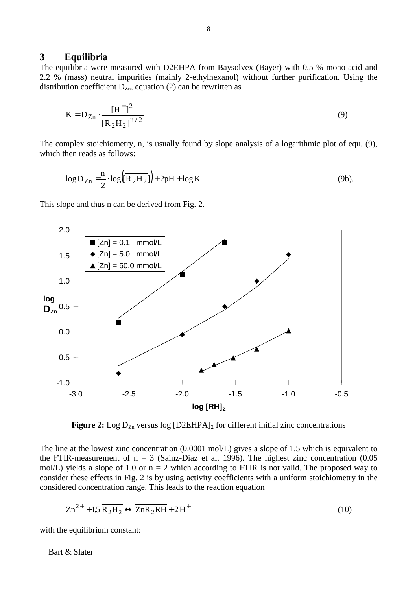#### **3 Equilibria**

The equilibria were measured with D2EHPA from Baysolvex (Bayer) with 0.5 % mono-acid and 2.2 % (mass) neutral impurities (mainly 2-ethylhexanol) without further purification. Using the distribution coefficient  $D_{Zn}$ , equation (2) can be rewritten as

$$
K = D_{Zn} \cdot \frac{[H^+]^2}{[\overline{R_2H_2}]^{n/2}}
$$
(9)

The complex stoichiometry, n, is usually found by slope analysis of a logarithmic plot of equ. (9), which then reads as follows:

$$
\log D_{Zn} = \frac{n}{2} \cdot \log \left( \overline{R_2 H_2} \right) + 2pH + \log K \tag{9b}.
$$

This slope and thus n can be derived from Fig. 2.



**Figure 2:** Log  $D_{\text{Zn}}$  versus log  $[D2EHPA]_2$  for different initial zinc concentrations

The line at the lowest zinc concentration (0.0001 mol/L) gives a slope of 1.5 which is equivalent to the FTIR-measurement of  $n = 3$  (Sainz-Diaz et al. 1996). The highest zinc concentration (0.05 mol/L) yields a slope of 1.0 or  $n = 2$  which according to FTIR is not valid. The proposed way to consider these effects in Fig. 2 is by using activity coefficients with a uniform stoichiometry in the considered concentration range. This leads to the reaction equation

$$
Zn^{2+} + 1.5 \overline{R_2H_2} \leftrightarrow \overline{ZnR_2RH} + 2H^+ \tag{10}
$$

with the equilibrium constant: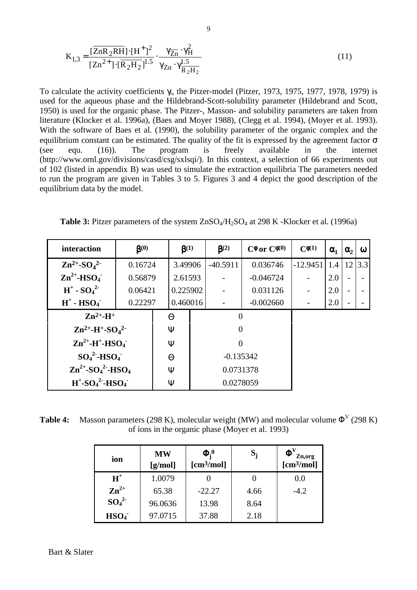$$
K_{1,3} = \frac{[\overline{ZnR_2RH}] \cdot [H^+]^2}{[Zn^{2+}] \cdot [\overline{R_2H_2}]^{1.5}} \cdot \frac{\gamma_{\overline{Zn}} \cdot \gamma_H^2}{\gamma_{Zn} \cdot \gamma_{\overline{R_2H_2}}^{1.5}}
$$
(11)

To calculate the activity coefficients γi, the Pitzer-model (Pitzer, 1973, 1975, 1977, 1978, 1979) is used for the aqueous phase and the Hildebrand-Scott-solubility parameter (Hildebrand and Scott, 1950) is used for the organic phase. The Pitzer-, Masson- and solubility parameters are taken from literature (Klocker et al. 1996a), (Baes and Moyer 1988), (Clegg et al. 1994), (Moyer et al. 1993). With the software of Baes et al. (1990), the solubility parameter of the organic complex and the equilibrium constant can be estimated. The quality of the fit is expressed by the agreement factor  $\sigma$ (see equ. (16)). The program is freely available in the internet (http://www.ornl.gov/divisions/casd/csg/sxlsqi/). In this context, a selection of 66 experiments out of 102 (listed in appendix B) was used to simulate the extraction equilibria The parameters needed to run the program are given in Tables 3 to 5. Figures 3 and 4 depict the good description of the equilibrium data by the model.

**Table 3:** Pitzer parameters of the system  $ZnSO<sub>4</sub>/H<sub>2</sub>SO<sub>4</sub>$  at 298 K -Klocker et al. (1996a)

| interaction                                                  | $\beta^{(0)}$                                         |  | $\beta^{(1)}$ |                  | $\beta^{(2)}$ | $C^{\phi}$ or $C^{\phi(0)}$ | $C\phi(1)$ | $\alpha_1$ | $\alpha_2$ | $\omega$ |
|--------------------------------------------------------------|-------------------------------------------------------|--|---------------|------------------|---------------|-----------------------------|------------|------------|------------|----------|
| $Zn^{2+}$ -SO <sub>4</sub> <sup>2</sup>                      | 0.16724                                               |  | 3.49906       |                  | $-40.5911$    | 0.036746                    | $-12.9451$ | 1.4        | 12         | 3.3      |
| $\text{Zn}^{2+}$ -HSO <sub>4</sub>                           | 0.56879                                               |  | 2.61593       |                  |               | $-0.046724$                 |            | 2.0        |            |          |
| $H^+$ - $SO_4^2$                                             | 0.06421                                               |  | 0.225902      |                  |               | 0.031126                    |            | 2.0        |            |          |
| $H^+$ - $HSO_4$                                              | 0.22297                                               |  | 0.460016      |                  |               | $-0.002660$                 |            | 2.0        |            |          |
| $Zn^{2+}-H^+$                                                |                                                       |  | Θ             | $\left( \right)$ |               |                             |            |            |            |          |
| $\rm Zn^{2+}$ -H <sup>+</sup> -SO <sub>4</sub> <sup>2-</sup> |                                                       |  | Ψ             | $\theta$         |               |                             |            |            |            |          |
| $\text{Zn}^{2+}$ -H <sup>+</sup> -HSO <sub>4</sub>           |                                                       |  | Ψ             | 0                |               |                             |            |            |            |          |
| $SO_4^2$ -HSO <sub>4</sub>                                   |                                                       |  | Θ             | $-0.135342$      |               |                             |            |            |            |          |
| $Zn^{2+}$ -SO <sub>4</sub> <sup>2</sup> -HSO <sub>4</sub>    |                                                       |  | Ψ             | 0.0731378        |               |                             |            |            |            |          |
|                                                              | $H^+$ -SO <sub>4</sub> <sup>2</sup> -HSO <sub>4</sub> |  | Ψ             | 0.0278059        |               |                             |            |            |            |          |

**Table 4:** Masson parameters (298 K), molecular weight (MW) and molecular volume  $\Phi^V$  (298 K) of ions in the organic phase (Moyer et al. 1993)

| ion                          | <b>MW</b><br>[g/mol] | $\Phi$ <sup>0</sup><br>$[\text{cm}^3/\text{mol}]$ | $S_i$ | $\Phi^V$<br>Zn,org<br>$[\text{cm}^3/\text{mol}]$ |
|------------------------------|----------------------|---------------------------------------------------|-------|--------------------------------------------------|
| $H^+$                        | 1.0079               |                                                   |       | 0.0                                              |
| $\mathbf{Zn}^{2+}$           | 65.38                | $-22.27$                                          | 4.66  | $-4.2$                                           |
| SO <sub>4</sub> <sup>2</sup> | 96.0636              | 13.98                                             | 8.64  |                                                  |
| HSO <sub>4</sub>             | 97.0715              | 37.88                                             | 2.18  |                                                  |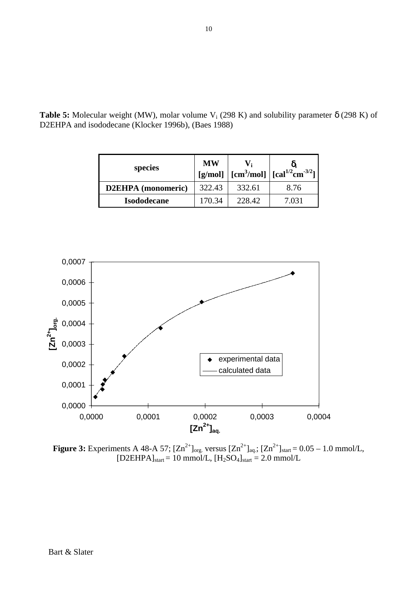| species                   | <b>MW</b> |        | [g/mol] $\left[ \text{cm}^3/\text{mol} \right]$ $\left[ \text{cal}^{1/2}\text{cm}^{-3/2} \right]$ |  |
|---------------------------|-----------|--------|---------------------------------------------------------------------------------------------------|--|
| <b>D2EHPA</b> (monomeric) | 322.43    | 332.61 | 8.76                                                                                              |  |
| <b>Isododecane</b>        | 170.34    | 228.42 | 7.031                                                                                             |  |

**Table 5:** Molecular weight (MW), molar volume V<sub>i</sub> (298 K) and solubility parameter  $\delta$  (298 K) of D2EHPA and isododecane (Klocker 1996b), (Baes 1988)



**Figure 3:** Experiments A 48-A 57;  $[Zn^{2+}]_{org.}$  versus  $[Zn^{2+}]_{aq.}$ ;  $[Zn^{2+}]_{start} = 0.05 - 1.0$  mmol/L,  $[D2EHPA]_{\text{start}} = 10 \text{ mmol/L}, [H_2SO_4]_{\text{start}} = 2.0 \text{ mmol/L}$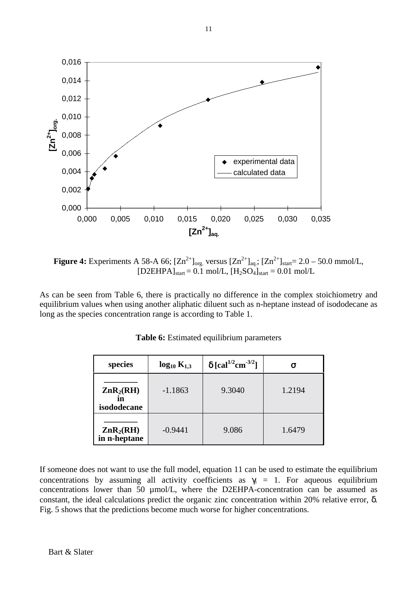

**Figure 4:** Experiments A 58-A 66;  $[Zn^{2+}]_{org.}$  versus  $[Zn^{2+}]_{aq}$ ;  $[Zn^{2+}]_{start} = 2.0 - 50.0$  mmol/L,  $[D2EHPA]_{\text{start}} = 0.1 \text{ mol/L}$ ,  $[H_2SO_4]_{\text{start}} = 0.01 \text{ mol/L}$ 

As can be seen from Table 6, there is practically no difference in the complex stoichiometry and equilibrium values when using another aliphatic diluent such as n-heptane instead of isododecane as long as the species concentration range is according to Table 1.

| species                                            | $log_{10} K_{1,3}$ | $\delta$ [cal <sup>1/2</sup> cm <sup>-3/2</sup> ] |        |
|----------------------------------------------------|--------------------|---------------------------------------------------|--------|
| $\mathbf{ZnR}_2(\mathbf{RH})$<br>in<br>isododecane | $-1.1863$          | 9.3040                                            | 1.2194 |
| $\mathbf{ZnR}_2(\mathbf{RH})$<br>in n-heptane      | $-0.9441$          | 9.086                                             | 1.6479 |

**Table 6:** Estimated equilibrium parameters

If someone does not want to use the full model, equation 11 can be used to estimate the equilibrium concentrations by assuming all activity coefficients as  $\gamma_i = 1$ . For aqueous equilibrium concentrations lower than 50 µmol/L, where the D2EHPA-concentration can be assumed as constant, the ideal calculations predict the organic zinc concentration within 20% relative error, δ. Fig. 5 shows that the predictions become much worse for higher concentrations.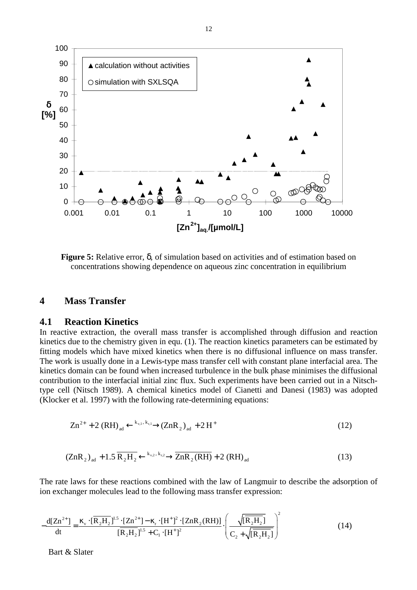

**Figure 5:** Relative error, δ, of simulation based on activities and of estimation based on concentrations showing dependence on aqueous zinc concentration in equilibrium

#### **4 Mass Transfer**

#### **4.1 Reaction Kinetics**

In reactive extraction, the overall mass transfer is accomplished through diffusion and reaction kinetics due to the chemistry given in equ. (1). The reaction kinetics parameters can be estimated by fitting models which have mixed kinetics when there is no diffusional influence on mass transfer. The work is usually done in a Lewis-type mass transfer cell with constant plane interfacial area. The kinetics domain can be found when increased turbulence in the bulk phase minimises the diffusional contribution to the interfacial initial zinc flux. Such experiments have been carried out in a Nitschtype cell (Nitsch 1989). A chemical kinetics model of Cianetti and Danesi (1983) was adopted (Klocker et al. 1997) with the following rate-determining equations:

$$
Zn^{2+} + 2 (RH)_{ad} \xleftarrow{k_{v,1}, k_{r,1}} (ZnR_2)_{ad} + 2H^+ \tag{12}
$$

$$
\left(\text{ZnR}_2\right)_{\text{ad}} + 1.5 \overline{\text{R}_2\text{H}_2} \xleftarrow{k_{\text{v},2}, k_{\text{r},2}} \overline{\text{ZnR}_2(\text{RH})} + 2\left(\text{RH}\right)_{\text{ad}} \tag{13}
$$

The rate laws for these reactions combined with the law of Langmuir to describe the adsorption of ion exchanger molecules lead to the following mass transfer expression:

$$
-\frac{d[Zn^{2+}]}{dt} = \frac{\kappa_v \cdot [\overline{R_2H_2}]^{1.5} \cdot [Zn^{2+}] - \kappa_r \cdot [H^+]^2 \cdot [ZnR_2(RH)]}{[\overline{R_2H_2}]^{1.5} + C_1 \cdot [H^+]^2} \cdot \left(\frac{\sqrt{[\overline{R_2H_2}]}]}{C_2 + \sqrt{[\overline{R_2H_2}]}|}\right)^2
$$
(14)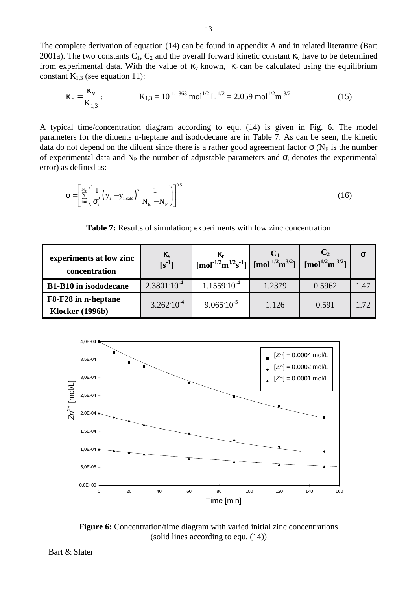The complete derivation of equation (14) can be found in appendix A and in related literature (Bart 2001a). The two constants  $C_1$ ,  $C_2$  and the overall forward kinetic constant  $\kappa$ <sub>v</sub> have to be determined from experimental data. With the value of  $\kappa_v$  known,  $\kappa_r$  can be calculated using the equilibrium constant  $K_{1,3}$  (see equation 11):

$$
\kappa_r = \frac{\kappa_v}{K_{1,3}}; \qquad K_{1,3} = 10^{-1.1863} \text{ mol}^{1/2} L^{-1/2} = 2.059 \text{ mol}^{1/2} \text{m}^{-3/2}
$$
 (15)

A typical time/concentration diagram according to equ. (14) is given in Fig. 6. The model parameters for the diluents n-heptane and isododecane are in Table 7. As can be seen, the kinetic data do not depend on the diluent since there is a rather good agreement factor  $\sigma$  (N<sub>E</sub> is the number of experimental data and N<sub>P</sub> the number of adjustable parameters and  $\sigma_i$  denotes the experimental error) as defined as:

$$
\sigma = \left[ \sum_{i=1}^{N_E} \left( \frac{1}{\sigma_i^2} \left( y_i - y_{i, \text{calc}} \right)^2 \frac{1}{N_E - N_P} \right) \right]^{0.5}
$$
(16)

**Table 7:** Results of simulation; experiments with low zinc concentration

| experiments at low zinc<br>concentration       | $\kappa_{\rm v}$<br>$[s^{-1}]$ | ĸ,<br>$\left[\text{mol}^{1/2}\text{m}^{3/2}\text{s}^{-1}\right]$ $\left[\text{mol}^{-1/2}\text{m}^{3/2}\right]$ $\left[\text{mol}^{1/2}\text{m}^{-3/2}\right]$ |        |        |      |
|------------------------------------------------|--------------------------------|----------------------------------------------------------------------------------------------------------------------------------------------------------------|--------|--------|------|
| <b>B1-B10</b> in isododecane                   | $2.380110^{4}$                 | $1.155910^{4}$                                                                                                                                                 | 1.2379 | 0.5962 | 1.47 |
| F8-F28 in n-heptane<br><b>-Klocker</b> (1996b) | $3.262 \cdot 10^{-4}$          | $9.065 \cdot 10^{-5}$                                                                                                                                          | 1.126  | 0.591  | 1.72 |



**Figure 6:** Concentration/time diagram with varied initial zinc concentrations (solid lines according to equ. (14))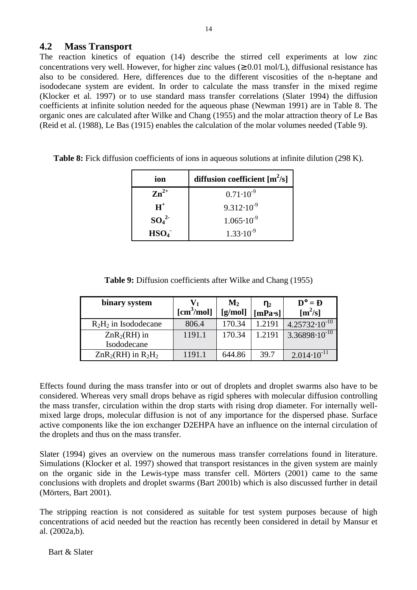### **4.2 Mass Transport**

The reaction kinetics of equation (14) describe the stirred cell experiments at low zinc concentrations very well. However, for higher zinc values ( $\geq 0.01$  mol/L), diffusional resistance has also to be considered. Here, differences due to the different viscosities of the n-heptane and isododecane system are evident. In order to calculate the mass transfer in the mixed regime (Klocker et al. 1997) or to use standard mass transfer correlations (Slater 1994) the diffusion coefficients at infinite solution needed for the aqueous phase (Newman 1991) are in Table 8. The organic ones are calculated after Wilke and Chang (1955) and the molar attraction theory of Le Bas (Reid et al. (1988), Le Bas (1915) enables the calculation of the molar volumes needed (Table 9).

| ion                          | diffusion coefficient $[m^2/s]$ |
|------------------------------|---------------------------------|
| $\mathbf{Zn}^{2+}$           | $0.71 \cdot 10^{-9}$            |
| $H^+$                        | $9.312 \cdot 10^{-9}$           |
| SO <sub>4</sub> <sup>2</sup> | $1.065 \cdot 10^{-9}$           |
| HSO <sub>4</sub>             | $1.33 \cdot 10^{-9}$            |

**Table 8:** Fick diffusion coefficients of ions in aqueous solutions at infinite dilution (298 K).

| <b>Table 9:</b> Diffusion coefficients after Wilke and Chang (1955) |  |  |  |
|---------------------------------------------------------------------|--|--|--|
|---------------------------------------------------------------------|--|--|--|

| binary system           | $[\text{cm}^3/\text{mol}]$ | $\mathbf{M}_2$<br>[g/mol] | $\eta_2$<br>$[mPa-s]$ | $D^{\circ} = D$<br>$[m^2/s]$ |
|-------------------------|----------------------------|---------------------------|-----------------------|------------------------------|
| $R_2H_2$ in Isododecane | 806.4                      | 170.34                    | 1.2191                | $4.25732 \cdot 10^{-10}$     |
| $ZnR_2(RH)$ in          | 1191.1                     | 170.34                    | 1.2191                | $3.36898 \cdot 10^{-10}$     |
| Isododecane             |                            |                           |                       |                              |
| $ZnR_2(RH)$ in $R_2H_2$ | 1191.1                     | 644.86                    | 39.7                  | $2.014 \cdot 10^{-11}$       |

Effects found during the mass transfer into or out of droplets and droplet swarms also have to be considered. Whereas very small drops behave as rigid spheres with molecular diffusion controlling the mass transfer, circulation within the drop starts with rising drop diameter. For internally wellmixed large drops, molecular diffusion is not of any importance for the dispersed phase. Surface active components like the ion exchanger D2EHPA have an influence on the internal circulation of the droplets and thus on the mass transfer.

Slater (1994) gives an overview on the numerous mass transfer correlations found in literature. Simulations (Klocker et al. 1997) showed that transport resistances in the given system are mainly on the organic side in the Lewis-type mass transfer cell. Mörters (2001) came to the same conclusions with droplets and droplet swarms (Bart 2001b) which is also discussed further in detail (Mörters, Bart 2001).

The stripping reaction is not considered as suitable for test system purposes because of high concentrations of acid needed but the reaction has recently been considered in detail by Mansur et al. (2002a,b).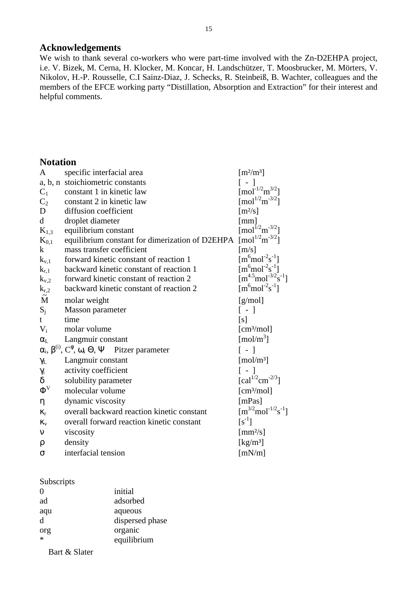#### **Acknowledgements**

We wish to thank several co-workers who were part-time involved with the Zn-D2EHPA project, i.e. V. Bizek, M. Cerna, H. Klocker, M. Koncar, H. Landschützer, T. Moosbrucker, M. Mörters, V. Nikolov, H.-P. Rousselle, C.I Sainz-Diaz, J. Schecks, R. Steinbeiß, B. Wachter, colleagues and the members of the EFCE working party "Distillation, Absorption and Extraction" for their interest and helpful comments.

## **Notation**

| A                              | specific interfacial area                                                               | $\left[\mathrm{m}^2/\mathrm{m}^3\right]$                                                                                 |
|--------------------------------|-----------------------------------------------------------------------------------------|--------------------------------------------------------------------------------------------------------------------------|
|                                | a, b, n stoichiometric constants                                                        | $\lceil - \rceil$                                                                                                        |
| $C_1$                          | constant 1 in kinetic law                                                               | $\text{[mol}^{-1/2}\text{m}^{3/2}\text{]}$                                                                               |
| C <sub>2</sub>                 | constant 2 in kinetic law                                                               | $\left[\text{mol}^{1/2}\text{m}^{-3/2}\right]$                                                                           |
| D                              | diffusion coefficient                                                                   | $\lceil m^2/s \rceil$                                                                                                    |
| $\mathbf d$                    | droplet diameter                                                                        | [mm]                                                                                                                     |
| $K_{1,3}$                      | equilibrium constant                                                                    | $\text{[mol}^{1/2}\text{m}^{-3/2}\text{]}$                                                                               |
| $K_{0,1}$                      | equilibrium constant for dimerization of D2EHPA                                         | $\left[\text{mol}^{1/2}\text{m}^{-3/2}\right]$                                                                           |
| $\bf k$                        | mass transfer coefficient                                                               | $\lceil m/s \rceil$                                                                                                      |
| $k_{v,1}$                      | forward kinetic constant of reaction 1                                                  | $[m6 mol-2s-1]$                                                                                                          |
| $k_{r,1}$                      | backward kinetic constant of reaction 1                                                 | $\left[\text{m}^6 \text{mol}^{-2} \text{s}^{-1}\right]$<br>$\left[\text{m}^{4.5} \text{mol}^{-3/2} \text{s}^{-1}\right]$ |
| $k_{v,2}$                      | forward kinetic constant of reaction 2                                                  |                                                                                                                          |
| $\overset{k_{r,2}}{\tilde{M}}$ | backward kinetic constant of reaction 2                                                 | $[m6 mol-2s-1]$                                                                                                          |
|                                | molar weight                                                                            | [g/mol]                                                                                                                  |
| $S_i$                          | Masson parameter                                                                        | [ - ]                                                                                                                    |
| t.                             | time                                                                                    | [s]                                                                                                                      |
| $V_i$                          | molar volume                                                                            | [cm <sup>3</sup> /mol]                                                                                                   |
| $\alpha_{L}$                   | Langmuir constant                                                                       | [mol/m <sup>3</sup> ]                                                                                                    |
|                                | $\alpha_i$ , $\beta^{(i)}$ , $C^{\phi}$ , $\omega$ , $\Theta$ , $\Psi$ Pitzer parameter | $\lceil - \rceil$                                                                                                        |
| $\gamma_L$                     | Langmuir constant                                                                       | $\lceil \text{mol}/\text{m}^3 \rceil$                                                                                    |
| $\gamma_{\rm i}$               | activity coefficient                                                                    | $\lceil - \rceil$                                                                                                        |
| $\delta$                       | solubility parameter                                                                    | [cal <sup>1/2</sup> cm <sup>-2/3</sup> ]                                                                                 |
| $\Phi^V$                       | molecular volume                                                                        | $\lceil$ cm <sup>3</sup> /mol]                                                                                           |
| η                              | dynamic viscosity                                                                       | [mPas]                                                                                                                   |
| $K_r$                          | overall backward reaction kinetic constant                                              | $[m^{3/2}mol^{-1/2}s^{-1}]$                                                                                              |
| $K_V$                          | overall forward reaction kinetic constant                                               | $[s^{-1}]$                                                                                                               |
| ν                              | viscosity                                                                               | $\lceil$ mm <sup>2</sup> /s]                                                                                             |
| ρ                              | density                                                                                 | $\left[\mathrm{kg/m^3}\right]$                                                                                           |
| $\sigma$                       | interfacial tension                                                                     | [mN/m]                                                                                                                   |

#### Subscripts

| $\Omega$ | initial         |
|----------|-----------------|
| ad       | adsorbed        |
| aqu      | aqueous         |
| d        | dispersed phase |
| org      | organic         |
|          | equilibrium     |
|          |                 |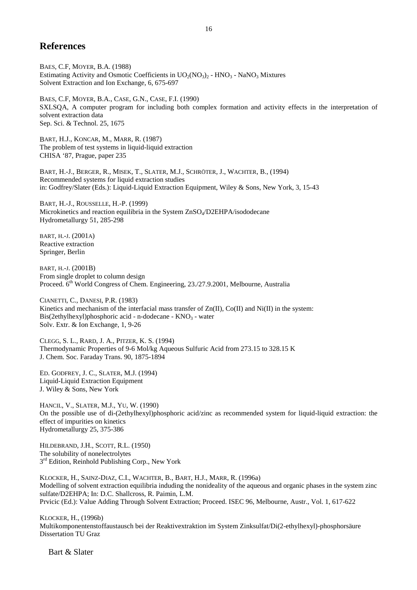### **References**

BAES, C.F, MOYER, B.A. (1988) Estimating Activity and Osmotic Coefficients in  $UO_2(NO_3)$  -  $HNO_3$  - NaNO<sub>3</sub> Mixtures Solvent Extraction and Ion Exchange, 6, 675-697

BAES, C.F, MOYER, B.A., CASE, G.N., CASE, F.I. (1990) SXLSQA, A computer program for including both complex formation and activity effects in the interpretation of solvent extraction data Sep. Sci. & Technol. 25, 1675

BART, H.J., KONCAR, M., MARR, R. (1987) The problem of test systems in liquid-liquid extraction CHISA '87, Prague, paper 235

BART, H.-J., BERGER, R., MISEK, T., SLATER, M.J., SCHRÖTER, J., WACHTER, B., (1994) Recommended systems for liquid extraction studies in: Godfrey/Slater (Eds.): Liquid-Liquid Extraction Equipment, Wiley & Sons, New York, 3, 15-43

BART, H.-J., ROUSSELLE, H.-P. (1999) Microkinetics and reaction equilibria in the System ZnSO<sub>4</sub>/D2EHPA/isododecane Hydrometallurgy 51, 285-298

BART, H.-J. (2001A) Reactive extraction Springer, Berlin

BART, H.-J. (2001B) From single droplet to column design Proceed. 6<sup>th</sup> World Congress of Chem. Engineering, 23./27.9.2001, Melbourne, Australia

CIANETTI, C., DANESI, P.R. (1983) Kinetics and mechanism of the interfacial mass transfer of  $Zn(II)$ , Co(II) and Ni(II) in the system:  $Bis(2ethylhexyl)phosphoric acid - n-dodecane - KNO<sub>3</sub> - water$ Solv. Extr. & Ion Exchange, 1, 9-26

CLEGG, S. L., RARD, J. A., PITZER, K. S. (1994) Thermodynamic Properties of 9-6 Mol/kg Aqueous Sulfuric Acid from 273.15 to 328.15 K J. Chem. Soc. Faraday Trans. 90, 1875-1894

ED. GODFREY, J. C., SLATER, M.J. (1994) Liquid-Liquid Extraction Equipment J. Wiley & Sons, New York

HANCIL, V., SLATER, M.J., YU, W. (1990) On the possible use of di-(2ethylhexyl)phosphoric acid/zinc as recommended system for liquid-liquid extraction: the effect of impurities on kinetics Hydrometallurgy 25, 375-386

HILDEBRAND, J.H., SCOTT, R.L. (1950) The solubility of nonelectrolytes  $3<sup>rd</sup>$  Edition, Reinhold Publishing Corp., New York

KLOCKER, H., SAINZ-DIAZ, C.I., WACHTER, B., BART, H.J., MARR, R. (1996a) Modelling of solvent extraction equilibria induding the nonideality of the aqueous and organic phases in the system zinc sulfate/D2EHPA; In: D.C. Shallcross, R. Paimin, L.M. Prvicic (Ed.): Value Adding Through Solvent Extraction; Proceed. ISEC 96, Melbourne, Austr., Vol. 1, 617-622

KLOCKER, H., (1996b) Multikomponentenstoffaustausch bei der Reaktivextraktion im System Zinksulfat/Di(2-ethylhexyl)-phosphorsäure Dissertation TU Graz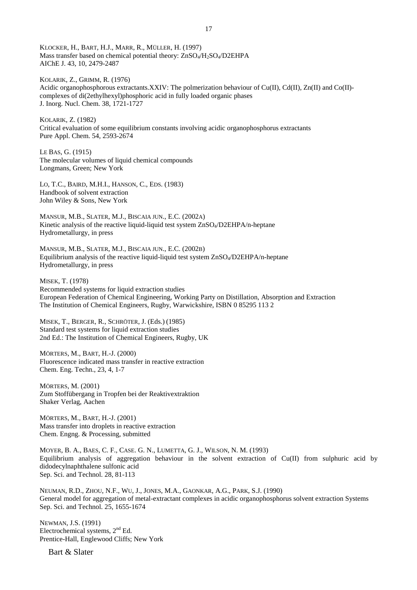KLOCKER, H., BART, H.J., MARR, R., MÜLLER, H. (1997) Mass transfer based on chemical potential theory: ZnSO<sub>4</sub>/H<sub>2</sub>SO<sub>4</sub>/D2EHPA AIChE J. 43, 10, 2479-2487

KOLARIK, Z., GRIMM, R. (1976) Acidic organophosphorous extractants.XXIV: The polmerization behaviour of Cu(II), Cd(II), Zn(II) and Co(II)complexes of di(2ethylhexyl)phosphoric acid in fully loaded organic phases J. Inorg. Nucl. Chem. 38, 1721-1727

KOLARIK, Z. (1982) Critical evaluation of some equilibrium constants involving acidic organophosphorus extractants Pure Appl. Chem. 54, 2593-2674

LE BAS, G. (1915) The molecular volumes of liquid chemical compounds Longmans, Green; New York

LO, T.C., BAIRD, M.H.I., HANSON, C., EDS. (1983) Handbook of solvent extraction John Wiley & Sons, New York

MANSUR, M.B., SLATER, M.J., BISCAIA JUN., E.C. (2002A) Kinetic analysis of the reactive liquid-liquid test system ZnSO<sub>4</sub>/D2EHPA/n-heptane Hydrometallurgy, in press

MANSUR, M.B., SLATER, M.J., BISCAIA JUN., E.C. (2002B) Equilibrium analysis of the reactive liquid-liquid test system  $ZnSO_4/D2EHPA/n$ -heptane Hydrometallurgy, in press

MISEK, T. (1978) Recommended systems for liquid extraction studies European Federation of Chemical Engineering, Working Party on Distillation, Absorption and Extraction The Institution of Chemical Engineers, Rugby, Warwickshire, ISBN 0 85295 113 2

MISEK, T., BERGER, R., SCHRÖTER, J. (Eds.) (1985) Standard test systems for liquid extraction studies 2nd Ed.: The Institution of Chemical Engineers, Rugby, UK

MÖRTERS, M., BART, H.-J. (2000) Fluorescence indicated mass transfer in reactive extraction Chem. Eng. Techn., 23, 4, 1-7

MÖRTERS, M. (2001) Zum Stoffübergang in Tropfen bei der Reaktivextraktion Shaker Verlag, Aachen

MÖRTERS, M., BART, H.-J. (2001) Mass transfer into droplets in reactive extraction Chem. Engng. & Processing, submitted

MOYER, B. A., BAES, C. F., CASE. G. N., LUMETTA, G. J., WILSON, N. M. (1993) Equilibrium analysis of aggregation behaviour in the solvent extraction of Cu(II) from sulphuric acid by didodecylnaphthalene sulfonic acid Sep. Sci. and Technol. 28, 81-113

NEUMAN, R.D., ZHOU, N.F., WU, J., JONES, M.A., GAONKAR, A.G., PARK, S.J. (1990) General model for aggregation of metal-extractant complexes in acidic organophosphorus solvent extraction Systems Sep. Sci. and Technol. 25, 1655-1674

NEWMAN, J.S. (1991) Electrochemical systems,  $2<sup>nd</sup> Ed$ . Prentice-Hall, Englewood Cliffs; New York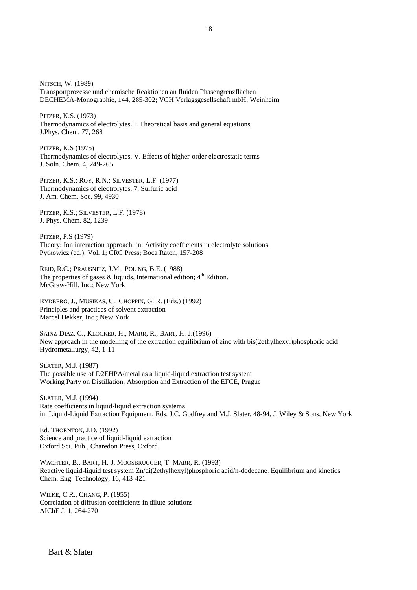NITSCH, W. (1989) Transportprozesse und chemische Reaktionen an fluiden Phasengrenzflächen DECHEMA-Monographie, 144, 285-302; VCH Verlagsgesellschaft mbH; Weinheim

PITZER, K.S. (1973) Thermodynamics of electrolytes. I. Theoretical basis and general equations J.Phys. Chem. 77, 268

PITZER, K.S (1975) Thermodynamics of electrolytes. V. Effects of higher-order electrostatic terms J. Soln. Chem. 4, 249-265

PITZER, K.S.; ROY, R.N.; SILVESTER, L.F. (1977) Thermodynamics of electrolytes. 7. Sulfuric acid J. Am. Chem. Soc. 99, 4930

PITZER, K.S.; SILVESTER, L.F. (1978) J. Phys. Chem. 82, 1239

PITZER, P.S (1979) Theory: Ion interaction approach; in: Activity coefficients in electrolyte solutions Pytkowicz (ed.), Vol. 1; CRC Press; Boca Raton, 157-208

REID, R.C.; PRAUSNITZ, J.M.; POLING, B.E. (1988) The properties of gases  $\&$  liquids, International edition;  $4<sup>th</sup>$  Edition. McGraw-Hill, Inc.; New York

RYDBERG, J., MUSIKAS, C., CHOPPIN, G. R. (Eds.) (1992) Principles and practices of solvent extraction Marcel Dekker, Inc.; New York

SAINZ-DIAZ, C., KLOCKER, H., MARR, R., BART, H.-J.(1996) New approach in the modelling of the extraction equilibrium of zinc with bis(2ethylhexyl)phosphoric acid Hydrometallurgy, 42, 1-11

SLATER, M.J. (1987) The possible use of D2EHPA/metal as a liquid-liquid extraction test system Working Party on Distillation, Absorption and Extraction of the EFCE, Prague

SLATER, M.J. (1994) Rate coefficients in liquid-liquid extraction systems in: Liquid-Liquid Extraction Equipment, Eds. J.C. Godfrey and M.J. Slater, 48-94, J. Wiley & Sons, New York

Ed. THORNTON, J.D. (1992) Science and practice of liquid-liquid extraction Oxford Sci. Pub., Charedon Press, Oxford

WACHTER, B., BART, H.-J, MOOSBRUGGER, T. MARR, R. (1993) Reactive liquid-liquid test system Zn/di(2ethylhexyl)phosphoric acid/n-dodecane. Equilibrium and kinetics Chem. Eng. Technology, 16, 413-421

WILKE, C.R., CHANG, P. (1955) Correlation of diffusion coefficients in dilute solutions AIChE J. 1, 264-270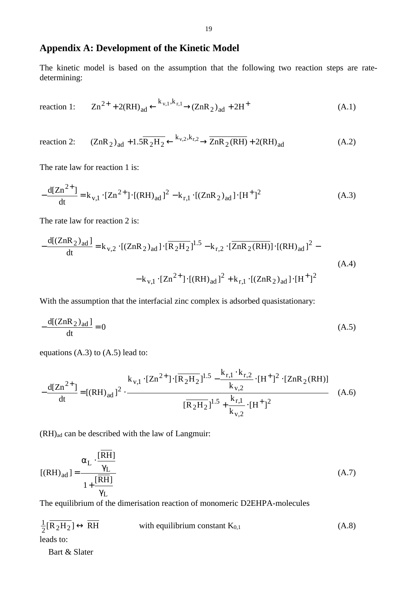## **Appendix A: Development of the Kinetic Model**

The kinetic model is based on the assumption that the following two reaction steps are ratedetermining:

reaction 1: 
$$
Zn^{2+} + 2(RH)_{ad} \xleftarrow{k_{v,1}, k_{r,1}} (ZnR_2)_{ad} + 2H^+ \tag{A.1}
$$

reaction 2: 
$$
(ZnR_2)_{ad} + 1.5\overline{R_2H_2} \xleftarrow{k_{v,2}, k_{r,2}} \overline{ZnR_2(RH)} + 2(RH)_{ad}
$$
 (A.2)

The rate law for reaction 1 is:

$$
-\frac{d[Zn^{2+}]}{dt} = k_{v,1} \cdot [Zn^{2+}] \cdot [(RH)_{ad}]^{2} - k_{r,1} \cdot [(ZnR_{2})_{ad}] \cdot [H^{+}]^{2}
$$
(A.3)

The rate law for reaction 2 is:

$$
-\frac{d[(ZnR_2)_{ad}]}{dt} = k_{v,2} \cdot [(ZnR_2)_{ad}] \cdot [\overline{R_2H_2}]^{1.5} - k_{r,2} \cdot [\overline{ZnR_2(RH)}] \cdot [(RH)_{ad}]^2 - k_{v,1} \cdot [Zn^{2+}] \cdot [(RH)_{ad}]^2 + k_{r,1} \cdot [(ZR)_{ad}] \cdot [H^+]^2
$$
\n(A.4)

With the assumption that the interfacial zinc complex is adsorbed quasistationary:

$$
-\frac{d[(ZnR_2)_{ad}]}{dt} = 0
$$
 (A.5)

equations (A.3) to (A.5) lead to:

$$
-\frac{d[Zn^{2+}]}{dt} = [(RH)_{ad}]^{2} \cdot \frac{k_{v,1} \cdot [Zn^{2+}] \cdot [\overline{R_{2}H_{2}}]^{1.5} - \frac{k_{r,1} \cdot k_{r,2}}{k_{v,2}} \cdot [H^{+}]^{2} \cdot [ZnR_{2}(RH)]}{[\overline{R_{2}H_{2}}]^{1.5} + \frac{k_{r,1}}{k_{v,2}} \cdot [H^{+}]^{2}}
$$
(A.6)

 $(RH)_{ad}$  can be described with the law of Langmuir:

$$
[(RH)_{ad}] = \frac{\alpha_L \cdot \frac{[RH]}{\gamma_L}}{1 + \frac{[RH]}{\gamma_L}}
$$
(A.7)

The equilibrium of the dimerisation reaction of monomeric D2EHPA-molecules

$$
\frac{1}{2}[\overline{R_2H_2}] \leftrightarrow \overline{RH} \qquad \text{with equilibrium constant } K_{0,1}
$$
\n(A.8)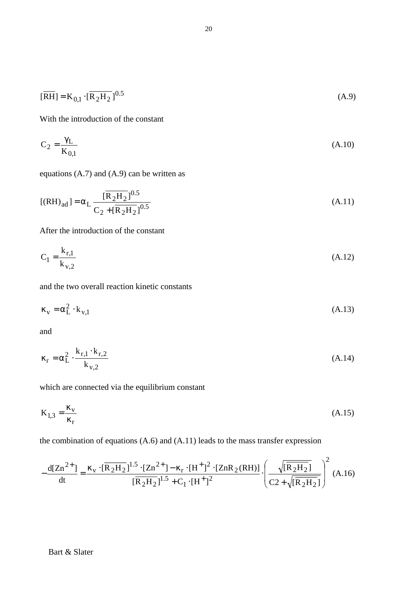$$
[\overline{\text{RH}}] = \text{K}_{0,1} \cdot [\overline{\text{R}_2 \text{H}_2}]^{0.5} \tag{A.9}
$$

With the introduction of the constant

$$
C_2 = \frac{\gamma_L}{K_{0,1}}\tag{A.10}
$$

equations (A.7) and (A.9) can be written as

$$
[(RH)_{ad}] = \alpha_L \frac{[\overline{R_2H_2}]^{0.5}}{C_2 + [\overline{R_2H_2}]^{0.5}}
$$
(A.11)

After the introduction of the constant

$$
C_1 = \frac{k_{r,1}}{k_{v,2}}
$$
 (A.12)

and the two overall reaction kinetic constants

$$
\kappa_{\rm v} = \alpha_{\rm L}^2 \cdot k_{\rm v,1} \tag{A.13}
$$

and

$$
\kappa_{\rm r} = \alpha_{\rm L}^2 \cdot \frac{k_{\rm r,1} \cdot k_{\rm r,2}}{k_{\rm v,2}} \tag{A.14}
$$

which are connected via the equilibrium constant

$$
K_{1,3} = \frac{\kappa_v}{\kappa_r} \tag{A.15}
$$

the combination of equations (A.6) and (A.11) leads to the mass transfer expression

$$
-\frac{d[Zn^{2+}]}{dt} = \frac{\kappa_v \cdot [\overline{R_2H_2}]^{1.5} \cdot [Zn^{2+}] - \kappa_r \cdot [H^+]^2 \cdot [ZnR_2(RH)]}{[\overline{R_2H_2}]^{1.5} + C_1 \cdot [H^+]^2} \cdot \left(\frac{\sqrt{[\overline{R_2H_2}]}]}{C2 + \sqrt{[\overline{R_2H_2}]}]} \right)^2 \tag{A.16}
$$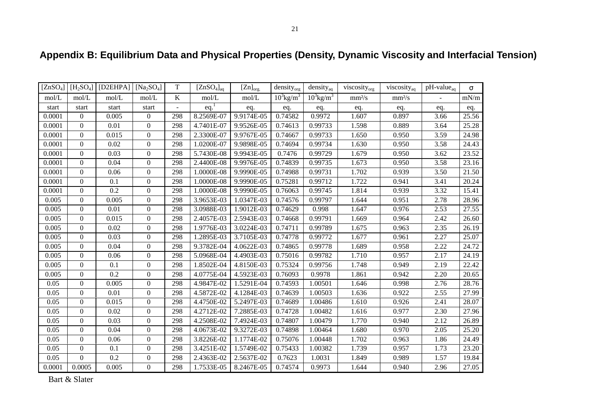| [ZnSO <sub>4</sub> ] | [H <sub>2</sub> SO <sub>4</sub> ] | [D2EHPA] | [ $Na2SO4$ ]     | $\mathbf T$              | [ZnSO <sub>4</sub> ] <sub>aq</sub> | $[Zn]_{org.}$ | density <sub>org</sub>   | $density_{aq}$           | viscosity <sub>org</sub> | viscosity <sub>aq</sub> | $pH$ -value <sub>aq</sub> | $\sigma$ |
|----------------------|-----------------------------------|----------|------------------|--------------------------|------------------------------------|---------------|--------------------------|--------------------------|--------------------------|-------------------------|---------------------------|----------|
| mol/L                | mol/L                             | mol/L    | mol/L            | $\bf K$                  | mol/L                              | mol/L         | $10^3$ kg/m <sup>3</sup> | $10^3$ kg/m <sup>3</sup> | mm <sup>2</sup> /s       | mm <sup>2</sup> /s      | $\overline{\phantom{a}}$  | mN/m     |
| start                | start                             | start    | start            | $\overline{\phantom{a}}$ | eq.                                | eq.           | eq.                      | eq.                      | eq.                      | eq.                     | eq.                       | eq.      |
| 0.0001               | $\overline{0}$                    | 0.005    | $\overline{0}$   | 298                      | 8.2569E-07                         | 9.9174E-05    | 0.74582                  | 0.9972                   | 1.607                    | 0.897                   | 3.66                      | 25.56    |
| 0.0001               | $\mathbf{0}$                      | 0.01     | $\boldsymbol{0}$ | 298                      | 4.7401E-07                         | 9.9526E-05    | 0.74613                  | 0.99733                  | 1.598                    | 0.889                   | 3.64                      | 25.28    |
| 0.0001               | $\Omega$                          | 0.015    | $\theta$         | 298                      | 2.3300E-07                         | 9.9767E-05    | 0.74667                  | 0.99733                  | 1.650                    | 0.950                   | 3.59                      | 24.98    |
| 0.0001               | $\mathbf{0}$                      | 0.02     | $\theta$         | 298                      | 1.0200E-07                         | 9.9898E-05    | 0.74694                  | 0.99734                  | 1.630                    | 0.950                   | 3.58                      | 24.43    |
| 0.0001               | $\mathbf{0}$                      | 0.03     | $\mathbf{0}$     | 298                      | 5.7430E-08                         | 9.9943E-05    | 0.7476                   | 0.99729                  | 1.679                    | 0.950                   | 3.62                      | 23.52    |
| 0.0001               | $\mathbf{0}$                      | 0.04     | $\mathbf{0}$     | 298                      | 2.4400E-08                         | 9.9976E-05    | 0.74839                  | 0.99735                  | 1.673                    | 0.950                   | 3.58                      | 23.16    |
| 0.0001               | $\mathbf{0}$                      | 0.06     | $\mathbf{0}$     | 298                      | 1.0000E-08                         | 9.9990E-05    | 0.74988                  | 0.99731                  | 1.702                    | 0.939                   | 3.50                      | 21.50    |
| 0.0001               | $\Omega$                          | 0.1      | $\boldsymbol{0}$ | 298                      | 1.0000E-08                         | 9.9990E-05    | 0.75281                  | 0.99712                  | 1.722                    | 0.941                   | 3.41                      | 20.24    |
| 0.0001               | $\overline{0}$                    | 0.2      | $\theta$         | 298                      | 1.0000E-08                         | 9.9990E-05    | 0.76063                  | 0.99745                  | 1.814                    | 0.939                   | 3.32                      | 15.41    |
| 0.005                | $\mathbf{0}$                      | 0.005    | $\boldsymbol{0}$ | 298                      | 3.9653E-03                         | 1.0347E-03    | 0.74576                  | 0.99797                  | 1.644                    | 0.951                   | 2.78                      | 28.96    |
| 0.005                | $\overline{0}$                    | 0.01     | $\theta$         | 298                      | 3.0988E-03                         | 1.9012E-03    | 0.74629                  | 0.998                    | 1.647                    | 0.976                   | 2.53                      | 27.55    |
| 0.005                | $\Omega$                          | 0.015    | $\Omega$         | 298                      | 2.4057E-03                         | 2.5943E-03    | 0.74668                  | 0.99791                  | 1.669                    | 0.964                   | 2.42                      | 26.60    |
| 0.005                | $\mathbf{0}$                      | 0.02     | $\mathbf{0}$     | 298                      | 1.9776E-03                         | 3.0224E-03    | 0.74711                  | 0.99789                  | 1.675                    | 0.963                   | 2.35                      | 26.19    |
| 0.005                | $\mathbf{0}$                      | 0.03     | $\boldsymbol{0}$ | 298                      | 1.2895E-03                         | 3.7105E-03    | 0.74778                  | 0.99772                  | 1.677                    | 0.961                   | 2.27                      | 25.07    |
| 0.005                | $\mathbf{0}$                      | 0.04     | $\overline{0}$   | 298                      | 9.3782E-04                         | 4.0622E-03    | 0.74865                  | 0.99778                  | 1.689                    | 0.958                   | 2.22                      | 24.72    |
| 0.005                | $\Omega$                          | 0.06     | $\theta$         | 298                      | 5.0968E-04                         | 4.4903E-03    | 0.75016                  | 0.99782                  | 1.710                    | 0.957                   | 2.17                      | 24.19    |
| 0.005                | $\Omega$                          | 0.1      | $\theta$         | 298                      | 1.8502E-04                         | 4.8150E-03    | 0.75324                  | 0.99756                  | 1.748                    | 0.949                   | 2.19                      | 22.42    |
| 0.005                | $\mathbf{0}$                      | 0.2      | $\boldsymbol{0}$ | 298                      | 4.0775E-04                         | 4.5923E-03    | 0.76093                  | 0.9978                   | 1.861                    | 0.942                   | 2.20                      | 20.65    |
| 0.05                 | $\mathbf{0}$                      | 0.005    | $\boldsymbol{0}$ | 298                      | 4.9847E-02                         | 1.5291E-04    | 0.74593                  | 1.00501                  | 1.646                    | 0.998                   | 2.76                      | 28.76    |
| 0.05                 | $\Omega$                          | 0.01     | $\theta$         | 298                      | 4.5872E-02                         | 4.1284E-03    | 0.74639                  | 1.00503                  | 1.636                    | 0.922                   | 2.55                      | 27.99    |
| 0.05                 | $\Omega$                          | 0.015    | $\theta$         | 298                      | 4.4750E-02                         | 5.2497E-03    | 0.74689                  | 1.00486                  | 1.610                    | 0.926                   | 2.41                      | 28.07    |
| 0.05                 | $\overline{0}$                    | 0.02     | $\boldsymbol{0}$ | 298                      | 4.2712E-02                         | 7.2885E-03    | 0.74728                  | 1.00482                  | 1.616                    | 0.977                   | 2.30                      | 27.96    |
| 0.05                 | $\mathbf{0}$                      | 0.03     | $\boldsymbol{0}$ | 298                      | 4.2508E-02                         | 7.4924E-03    | 0.74807                  | 1.00479                  | 1.770                    | 0.940                   | 2.12                      | 26.89    |
| 0.05                 | $\boldsymbol{0}$                  | 0.04     | $\theta$         | 298                      | 4.0673E-02                         | 9.3272E-03    | 0.74898                  | 1.00464                  | 1.680                    | 0.970                   | 2.05                      | 25.20    |
| 0.05                 | $\Omega$                          | 0.06     | $\theta$         | 298                      | 3.8226E-02                         | 1.1774E-02    | 0.75076                  | 1.00448                  | 1.702                    | 0.963                   | 1.86                      | 24.49    |
| 0.05                 | $\boldsymbol{0}$                  | 0.1      | $\boldsymbol{0}$ | 298                      | 3.4251E-02                         | 1.5749E-02    | 0.75433                  | 1.00382                  | 1.739                    | 0.957                   | 1.73                      | 23.20    |
| 0.05                 | $\boldsymbol{0}$                  | 0.2      | $\theta$         | 298                      | 2.4363E-02                         | 2.5637E-02    | 0.7623                   | 1.0031                   | 1.849                    | 0.989                   | 1.57                      | 19.84    |
| 0.0001               | 0.0005                            | 0.005    | $\boldsymbol{0}$ | 298                      | 1.7533E-05                         | 8.2467E-05    | 0.74574                  | 0.9973                   | 1.644                    | 0.940                   | 2.96                      | 27.05    |

# **Appendix B: Equilibrium Data and Physical Properties (Density, Dynamic Viscosity and Interfacial Tension)**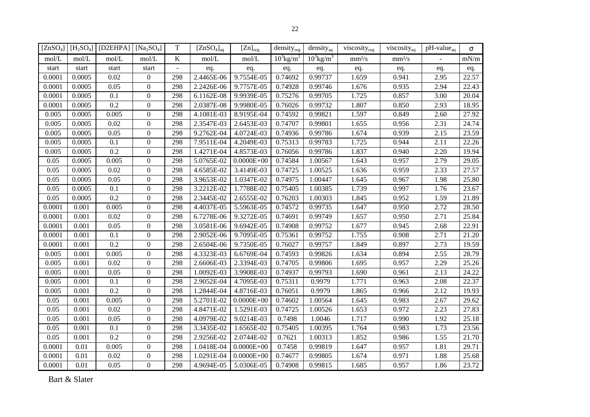|        |        | $[ZnSO_4]   [H_2SO_4]   [D2EHPA]   [Na_2SO_4]$ |                  | T              | $[ZnSO_4]_{aq}$ | $[Zn]_{org.}$  | density <sub>org</sub>   | $density_{aq}$           | viscosity $_{org}$ | viscosity <sub>aq</sub> | $pH$ -value <sub>aq</sub> | $\sigma$ |
|--------|--------|------------------------------------------------|------------------|----------------|-----------------|----------------|--------------------------|--------------------------|--------------------|-------------------------|---------------------------|----------|
| mol/L  | mol/L  | mol/L                                          | mol/L            | $\bf K$        | mol/L           | mol/L          | $10^3$ kg/m <sup>3</sup> | $10^3$ kg/m <sup>3</sup> | mm <sup>2</sup> /s | mm <sup>2</sup> /s      |                           | mN/m     |
| start  | start  | start                                          | start            | $\blacksquare$ | eq.             | eq.            | eq.                      | eq.                      | eq.                | eq.                     | eq.                       | eq.      |
| 0.0001 | 0.0005 | 0.02                                           | $\mathbf{0}$     | 298            | 2.4465E-06      | 9.7554E-05     | 0.74692                  | 0.99737                  | 1.659              | 0.941                   | 2.95                      | 22.57    |
| 0.0001 | 0.0005 | 0.05                                           | $\boldsymbol{0}$ | 298            | 2.2426E-06      | 9.7757E-05     | 0.74928                  | 0.99746                  | 1.676              | 0.935                   | 2.94                      | 22.43    |
| 0.0001 | 0.0005 | 0.1                                            | $\boldsymbol{0}$ | 298            | 6.1162E-08      | 9.9939E-05     | 0.75276                  | 0.99705                  | 1.725              | 0.857                   | 3.00                      | 20.04    |
| 0.0001 | 0.0005 | 0.2                                            | $\boldsymbol{0}$ | 298            | 2.0387E-08      | 9.9980E-05     | 0.76026                  | 0.99732                  | 1.807              | 0.850                   | 2.93                      | 18.95    |
| 0.005  | 0.0005 | 0.005                                          | $\boldsymbol{0}$ | 298            | 4.1081E-03      | 8.9195E-04     | 0.74592                  | 0.99821                  | 1.597              | 0.849                   | 2.60                      | 27.92    |
| 0.005  | 0.0005 | 0.02                                           | $\boldsymbol{0}$ | 298            | 2.3547E-03      | 2.6453E-03     | 0.74707                  | 0.99801                  | 1.655              | 0.956                   | 2.31                      | 24.74    |
| 0.005  | 0.0005 | 0.05                                           | $\boldsymbol{0}$ | 298            | 9.2762E-04      | 4.0724E-03     | 0.74936                  | 0.99786                  | 1.674              | 0.939                   | 2.15                      | 23.59    |
| 0.005  | 0.0005 | 0.1                                            | $\boldsymbol{0}$ | 298            | 7.9511E-04      | 4.2049E-03     | 0.75313                  | 0.99783                  | 1.725              | 0.944                   | 2.11                      | 22.26    |
| 0.005  | 0.0005 | 0.2                                            | $\boldsymbol{0}$ | 298            | $1.4271E-04$    | 4.8573E-03     | 0.76056                  | 0.99786                  | 1.837              | 0.940                   | 2.20                      | 19.94    |
| 0.05   | 0.0005 | 0.005                                          | $\overline{0}$   | 298            | 5.0765E-02      | $0.0000E + 00$ | 0.74584                  | 1.00567                  | 1.643              | 0.957                   | 2.79                      | 29.05    |
| 0.05   | 0.0005 | 0.02                                           | $\boldsymbol{0}$ | 298            | 4.6585E-02      | 3.4149E-03     | 0.74725                  | 1.00525                  | 1.636              | 0.959                   | 2.33                      | 27.57    |
| 0.05   | 0.0005 | 0.05                                           | $\boldsymbol{0}$ | 298            | 3.9653E-02      | 1.0347E-02     | 0.74975                  | 1.00447                  | 1.645              | 0.967                   | 1.98                      | 25.80    |
| 0.05   | 0.0005 | 0.1                                            | $\boldsymbol{0}$ | 298            | 3.2212E-02      | 1.7788E-02     | 0.75405                  | 1.00385                  | 1.739              | 0.997                   | 1.76                      | 23.67    |
| 0.05   | 0.0005 | 0.2                                            | $\theta$         | 298            | 2.3445E-02      | 2.6555E-02     | 0.76203                  | 1.00303                  | 1.845              | 0.952                   | 1.59                      | 21.89    |
| 0.0001 | 0.001  | 0.005                                          | $\mathbf{0}$     | 298            | 4.4037E-05      | 5.5963E-05     | 0.74572                  | 0.99735                  | 1.647              | 0.950                   | 2.72                      | 28.50    |
| 0.0001 | 0.001  | 0.02                                           | $\theta$         | 298            | 6.7278E-06      | 9.3272E-05     | 0.74691                  | 0.99749                  | 1.657              | 0.950                   | 2.71                      | 25.84    |
| 0.0001 | 0.001  | 0.05                                           | $\Omega$         | 298            | 3.0581E-06      | 9.6942E-05     | 0.74908                  | 0.99752                  | 1.677              | 0.945                   | 2.68                      | 22.91    |
| 0.0001 | 0.001  | 0.1                                            | $\boldsymbol{0}$ | 298            | 2.9052E-06      | 9.7095E-05     | 0.75361                  | 0.99752                  | 1.755              | 0.908                   | 2.71                      | 21.20    |
| 0.0001 | 0.001  | 0.2                                            | $\boldsymbol{0}$ | 298            | 2.6504E-06      | 9.7350E-05     | 0.76027                  | 0.99757                  | 1.849              | 0.897                   | 2.73                      | 19.59    |
| 0.005  | 0.001  | 0.005                                          | $\boldsymbol{0}$ | 298            | 4.3323E-03      | 6.6769E-04     | 0.74593                  | 0.99826                  | 1.634              | 0.894                   | 2.55                      | 28.79    |
| 0.005  | 0.001  | 0.02                                           | $\boldsymbol{0}$ | 298            | 2.6606E-03      | 2.3394E-03     | 0.74705                  | 0.99806                  | 1.695              | 0.957                   | 2.29                      | 25.26    |
| 0.005  | 0.001  | 0.05                                           | $\boldsymbol{0}$ | 298            | 1.0092E-03      | 3.9908E-03     | 0.74937                  | 0.99793                  | 1.690              | 0.961                   | 2.13                      | 24.22    |
| 0.005  | 0.001  | 0.1                                            | $\boldsymbol{0}$ | 298            | 2.9052E-04      | 4.7095E-03     | 0.75311                  | 0.9979                   | 1.771              | 0.963                   | 2.08                      | 22.37    |
| 0.005  | 0.001  | 0.2                                            | $\boldsymbol{0}$ | 298            | 1.2844E-04      | 4.8716E-03     | 0.76051                  | 0.9979                   | 1.865              | 0.966                   | 2.12                      | 19.93    |
| 0.05   | 0.001  | 0.005                                          | $\boldsymbol{0}$ | 298            | 5.2701E-02      | $0.0000E + 00$ | 0.74602                  | 1.00564                  | 1.645              | 0.983                   | 2.67                      | 29.62    |
| 0.05   | 0.001  | 0.02                                           | $\boldsymbol{0}$ | 298            | 4.8471E-02      | 1.5291E-03     | 0.74725                  | 1.00526                  | 1.653              | 0.972                   | 2.23                      | 27.83    |
| 0.05   | 0.001  | 0.05                                           | $\boldsymbol{0}$ | 298            | 4.0979E-02      | 9.0214E-03     | 0.7498                   | 1.0046                   | 1.717              | 0.990                   | 1.92                      | 25.18    |
| 0.05   | 0.001  | 0.1                                            | $\boldsymbol{0}$ | 298            | 3.3435E-02      | 1.6565E-02     | 0.75405                  | 1.00395                  | 1.764              | 0.983                   | 1.73                      | 23.56    |
| 0.05   | 0.001  | 0.2                                            | $\mathbf{0}$     | 298            | 2.9256E-02      | 2.0744E-02     | 0.7621                   | 1.00313                  | 1.852              | 0.986                   | 1.55                      | 21.70    |
| 0.0001 | 0.01   | 0.005                                          | $\mathbf{0}$     | 298            | 1.0418E-04      | $0.0000E + 00$ | 0.7458                   | 0.99819                  | 1.647              | 0.957                   | 1.81                      | 29.71    |
| 0.0001 | 0.01   | 0.02                                           | $\boldsymbol{0}$ | 298            | 1.0291E-04      | $0.0000E + 00$ | 0.74677                  | 0.99805                  | 1.674              | 0.971                   | 1.88                      | 25.68    |
| 0.0001 | 0.01   | 0.05                                           | $\overline{0}$   | 298            | 4.9694E-05      | 5.0306E-05     | 0.74908                  | 0.99815                  | 1.685              | 0.957                   | 1.86                      | 23.72    |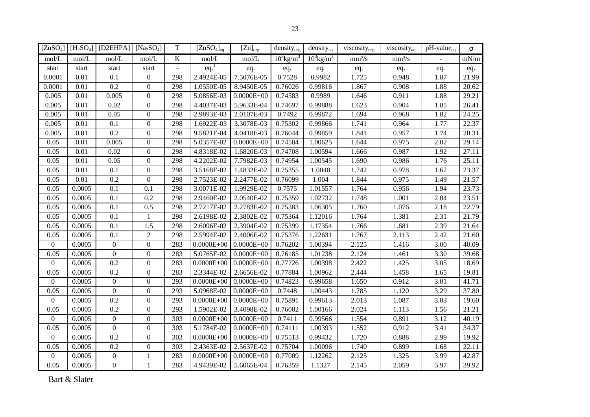|                |        | $[ZnSO_4]$ [H <sub>2</sub> SO <sub>4</sub> ] [D2EHPA] [Na <sub>2</sub> SO <sub>4</sub> ] |                  | T       | $[ZnSO_4]_{aq}$    | $[Zn]_{org.}$  | density <sub>org</sub>   | density <sub>aq</sub>    | viscosity <sub>org</sub> | viscosity <sub>aq</sub> | $pH$ -value <sub>aq</sub> | $\sigma$ |
|----------------|--------|------------------------------------------------------------------------------------------|------------------|---------|--------------------|----------------|--------------------------|--------------------------|--------------------------|-------------------------|---------------------------|----------|
| mol/L          | mol/L  | mol/L                                                                                    | mol/L            | $\bf K$ | mol/L              | mol/L          | $10^3$ kg/m <sup>3</sup> | $10^3$ kg/m <sup>3</sup> | mm <sup>2</sup> /s       | mm <sup>2</sup> /s      |                           | mN/m     |
| start          | start  | start                                                                                    | start            |         | $eq.$ <sup>1</sup> | eq.            | eq.                      | eq.                      | eq.                      | eq.                     | eq.                       | eq.      |
| 0.0001         | 0.01   | 0.1                                                                                      | $\overline{0}$   | 298     | $2.4924E-05$       | 7.5076E-05     | 0.7528                   | 0.9982                   | 1.725                    | 0.948                   | 1.87                      | 21.99    |
| 0.0001         | 0.01   | 0.2                                                                                      | $\overline{0}$   | 298     | 1.0550E-05         | 8.9450E-05     | 0.76026                  | 0.99816                  | 1.867                    | 0.908                   | 1.88                      | 20.62    |
| 0.005          | 0.01   | 0.005                                                                                    | $\overline{0}$   | 298     | 5.0856E-03         | $0.0000E + 00$ | 0.74583                  | 0.9989                   | 1.646                    | 0.911                   | 1.88                      | 29.21    |
| 0.005          | 0.01   | 0.02                                                                                     | $\boldsymbol{0}$ | 298     | 4.4037E-03         | 5.9633E-04     | 0.74697                  | 0.99888                  | 1.623                    | 0.904                   | 1.85                      | 26.41    |
| 0.005          | 0.01   | 0.05                                                                                     | $\boldsymbol{0}$ | 298     | 2.9893E-03         | 2.0107E-03     | 0.7492                   | 0.99872                  | 1.694                    | 0.968                   | 1.82                      | 24.25    |
| 0.005          | 0.01   | 0.1                                                                                      | $\boldsymbol{0}$ | 298     | 1.6922E-03         | 3.3078E-03     | 0.75302                  | 0.99866                  | 1.741                    | 0.964                   | 1.77                      | 22.37    |
| 0.005          | 0.01   | 0.2                                                                                      | $\boldsymbol{0}$ | 298     | 9.5821E-04         | 4.0418E-03     | 0.76044                  | 0.99859                  | 1.841                    | 0.957                   | 1.74                      | 20.31    |
| 0.05           | 0.01   | 0.005                                                                                    | $\overline{0}$   | 298     | 5.0357E-02         | $0.0000E + 00$ | 0.74584                  | 1.00625                  | 1.644                    | 0.975                   | 2.02                      | 29.14    |
| 0.05           | 0.01   | 0.02                                                                                     | $\overline{0}$   | 298     | 4.8318E-02         | 1.6820E-03     | 0.74708                  | 1.00594                  | 1.666                    | 0.987                   | 1.92                      | 27.11    |
| 0.05           | 0.01   | 0.05                                                                                     | $\overline{0}$   | 298     | 4.2202E-02         | 7.7982E-03     | 0.74954                  | 1.00545                  | 1.690                    | 0.986                   | 1.76                      | 25.11    |
| 0.05           | 0.01   | 0.1                                                                                      | $\boldsymbol{0}$ | 298     | 3.5168E-02         | 1.4832E-02     | 0.75355                  | 1.0048                   | 1.742                    | 0.978                   | 1.62                      | 23.37    |
| 0.05           | 0.01   | 0.2                                                                                      | $\boldsymbol{0}$ | 298     | 2.7523E-02         | 2.2477E-02     | 0.76099                  | 1.004                    | 1.844                    | 0.975                   | 1.49                      | 21.57    |
| 0.05           | 0.0005 | 0.1                                                                                      | 0.1              | 298     | 3.0071E-02         | 1.9929E-02     | 0.7575                   | 1.01557                  | 1.764                    | 0.956                   | 1.94                      | 23.73    |
| 0.05           | 0.0005 | 0.1                                                                                      | 0.2              | 298     | 2.9460E-02         | 2.0540E-02     | 0.75359                  | 1.02732                  | 1.748                    | 1.001                   | 2.04                      | 23.51    |
| 0.05           | 0.0005 | 0.1                                                                                      | 0.5              | 298     | 2.7217E-02         | 2.2783E-02     | 0.75383                  | 1.06305                  | 1.760                    | 1.076                   | 2.18                      | 22.79    |
| 0.05           | 0.0005 | 0.1                                                                                      | $\mathbf{1}$     | 298     | 2.6198E-02         | 2.3802E-02     | 0.75364                  | 1.12016                  | 1.764                    | 1.381                   | 2.31                      | 21.79    |
| 0.05           | 0.0005 | 0.1                                                                                      | 1.5              | 298     | 2.6096E-02         | 2.3904E-02     | 0.75399                  | 1.17354                  | 1.766                    | 1.681                   | 2.39                      | 21.64    |
| 0.05           | 0.0005 | 0.1                                                                                      | $\overline{2}$   | 298     | 2.5994E-02         | 2.4006E-02     | 0.75376                  | 1.22631                  | 1.767                    | 2.113                   | 2.42                      | 21.60    |
| $\overline{0}$ | 0.0005 | $\overline{0}$                                                                           | $\boldsymbol{0}$ | 283     | $0.0000E + 00$     | $0.0000E + 00$ | 0.76202                  | 1.00394                  | 2.125                    | 1.416                   | 3.00                      | 40.09    |
| 0.05           | 0.0005 | $\Omega$                                                                                 | $\boldsymbol{0}$ | 283     | 5.0765E-02         | $0.0000E + 00$ | 0.76185                  | 1.01238                  | 2.124                    | 1.461                   | 3.30                      | 39.68    |
| $\overline{0}$ | 0.0005 | 0.2                                                                                      | $\boldsymbol{0}$ | 283     | $0.0000E + 00$     | $0.0000E + 00$ | 0.77726                  | 1.00398                  | 2.422                    | 1.425                   | 3.05                      | 18.69    |
| 0.05           | 0.0005 | 0.2                                                                                      | $\mathbf{0}$     | 283     | 2.3344E-02         | 2.6656E-02     | 0.77884                  | 1.00962                  | 2.444                    | 1.458                   | 1.65                      | 19.81    |
| $\mathbf{0}$   | 0.0005 | $\mathbf{0}$                                                                             | $\boldsymbol{0}$ | 293     | $0.0000E + 00$     | $0.0000E + 00$ | 0.74823                  | 0.99658                  | 1.650                    | 0.912                   | 3.01                      | 41.71    |
| 0.05           | 0.0005 | $\mathbf{0}$                                                                             | $\boldsymbol{0}$ | 293     | 5.0968E-02         | $0.0000E + 00$ | 0.7448                   | 1.00443                  | 1.785                    | 1.120                   | 3.29                      | 37.80    |
| $\overline{0}$ | 0.0005 | 0.2                                                                                      | $\boldsymbol{0}$ | 293     | $0.0000E + 00$     | $0.0000E + 00$ | 0.75891                  | 0.99613                  | 2.013                    | 1.087                   | 3.03                      | 19.60    |
| 0.05           | 0.0005 | 0.2                                                                                      | $\boldsymbol{0}$ | 293     | 1.5902E-02         | 3.4098E-02     | 0.76002                  | 1.00166                  | 2.024                    | 1.113                   | 1.56                      | 21.21    |
| $\overline{0}$ | 0.0005 | $\mathbf{0}$                                                                             | $\boldsymbol{0}$ | 303     | $0.0000E + 00$     | $0.0000E + 00$ | 0.7411                   | 0.99566                  | 1.554                    | 0.891                   | 3.12                      | 40.19    |
| 0.05           | 0.0005 | $\Omega$                                                                                 | $\boldsymbol{0}$ | 303     | 5.1784E-02         | $0.0000E + 00$ | 0.74111                  | 1.00393                  | 1.552                    | 0.912                   | 3.41                      | 34.37    |
| $\overline{0}$ | 0.0005 | 0.2                                                                                      | $\boldsymbol{0}$ | 303     | $0.0000E + 00$     | $0.0000E + 00$ | 0.75513                  | 0.99432                  | 1.720                    | 0.888                   | 2.99                      | 19.92    |
| 0.05           | 0.0005 | 0.2                                                                                      | $\overline{0}$   | 303     | 2.4363E-02         | 2.5637E-02     | 0.75704                  | 1.00096                  | 1.740                    | 0.899                   | 1.68                      | 22.11    |
| $\overline{0}$ | 0.0005 | $\Omega$                                                                                 | 1                | 283     | $0.0000E + 00$     | $0.0000E + 00$ | 0.77009                  | 1.12262                  | 2.125                    | 1.325                   | 3.99                      | 42.87    |
| 0.05           | 0.0005 | $\mathbf{0}$                                                                             | $\mathbf{1}$     | 283     | 4.9439E-02         | 5.6065E-04     | 0.76359                  | 1.1327                   | 2.145                    | 2.059                   | 3.97                      | 39.92    |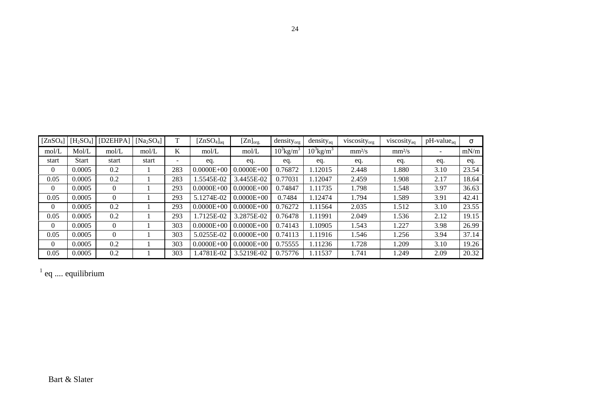| [ZnSO <sub>4</sub> ] | [H <sub>2</sub> SO <sub>4</sub> ] | [D2EHPA] | [ $Na2SO4$ ] | T                        | $[ZnSO_4]_{aq}$ | $[Zn]_{org.}$  | $density_{org}$          | $density_{aq}$           | viscosity <sub>org</sub> | viscosity <sub>aq</sub> | $pH$ -value <sub>aq</sub> | $\sigma$ |
|----------------------|-----------------------------------|----------|--------------|--------------------------|-----------------|----------------|--------------------------|--------------------------|--------------------------|-------------------------|---------------------------|----------|
| mol/L                | Mol/L                             | mol/L    | mol/L        | K                        | mol/L           | mol/L          | $10^3$ kg/m <sup>3</sup> | $10^3$ kg/m <sup>3</sup> | mm <sup>2</sup> /s       | mm <sup>2</sup> /s      | $\overline{\phantom{a}}$  | mN/m     |
| start                | <b>Start</b>                      | start    | start        | $\overline{\phantom{0}}$ | eq.             | eq.            | eq.                      | eq.                      | eq.                      | eq.                     | eq.                       | eq.      |
| $\mathbf{0}$         | 0.0005                            | 0.2      |              | 283                      | $0.0000E + 00$  | $0.0000E + 00$ | 0.76872                  | 1.12015                  | 2.448                    | 1.880                   | 3.10                      | 23.54    |
| 0.05                 | 0.0005                            | 0.2      |              | 283                      | .5545E-02       | 3.4455E-02     | 0.77031                  | 1.12047                  | 2.459                    | 1.908                   | 2.17                      | 18.64    |
| $\theta$             | 0.0005                            | $\theta$ |              | 293                      | $0.0000E + 00$  | $0.0000E + 00$ | 0.74847                  | 1.11735                  | 1.798                    | 1.548                   | 3.97                      | 36.63    |
| 0.05                 | 0.0005                            | $\theta$ |              | 293                      | 5.1274E-02      | $0.0000E + 00$ | 0.7484                   | 1.12474                  | 1.794                    | 1.589                   | 3.91                      | 42.41    |
| $\theta$             | 0.0005                            | 0.2      |              | 293                      | $0.0000E + 00$  | $0.0000E + 00$ | 0.76272                  | 1.11564                  | 2.035                    | 1.512                   | 3.10                      | 23.55    |
| 0.05                 | 0.0005                            | 0.2      |              | 293                      | 1.7125E-02      | 3.2875E-02     | 0.76478                  | 1.11991                  | 2.049                    | 1.536                   | 2.12                      | 19.15    |
| $\theta$             | 0.0005                            | $\theta$ |              | 303                      | $0.0000E + 00$  | $0.0000E + 00$ | 0.74143                  | 1.10905                  | 1.543                    | 1.227                   | 3.98                      | 26.99    |
| 0.05                 | 0.0005                            | $\theta$ |              | 303                      | 5.0255E-02      | $0.0000E + 00$ | 0.74113                  | 1.11916                  | 1.546                    | 1.256                   | 3.94                      | 37.14    |
| $\theta$             | 0.0005                            | 0.2      |              | 303                      | $0.0000E + 00$  | $0.0000E + 00$ | 0.75555                  | 1.11236                  | 1.728                    | 1.209                   | 3.10                      | 19.26    |
| 0.05                 | 0.0005                            | 0.2      |              | 303                      | .4781E-02       | 3.5219E-02     | 0.75776                  | 1.11537                  | 1.741                    | 1.249                   | 2.09                      | 20.32    |

 $1$  eq .... equilibrium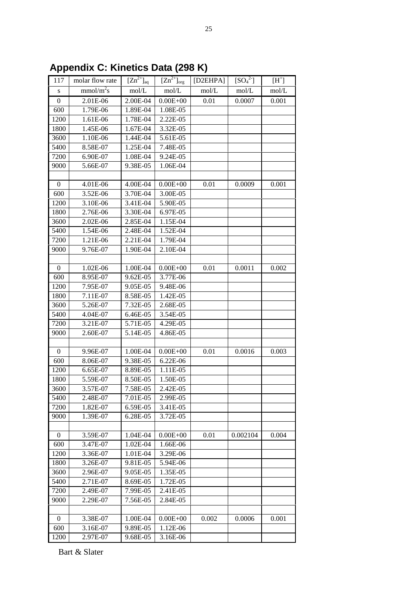| mmol/m <sup>2</sup> s<br>mol/L<br>mol/L<br>mol/L<br>mol/L<br>${\bf S}$<br>$\boldsymbol{0}$<br>2.00E-04<br>$0.00E + 00$<br>0.01<br>2.01E-06<br>0.0007 | mol/L<br>0.001 |
|------------------------------------------------------------------------------------------------------------------------------------------------------|----------------|
|                                                                                                                                                      |                |
|                                                                                                                                                      |                |
| 1.89E-04<br>600<br>1.79E-06<br>1.08E-05                                                                                                              |                |
| 1200<br>1.61E-06<br>1.78E-04<br>2.22E-05                                                                                                             |                |
| 1800<br>1.45E-06<br>1.67E-04<br>3.32E-05                                                                                                             |                |
| 3600<br>1.10E-06<br>1.44E-04<br>5.61E-05                                                                                                             |                |
| 8.58E-07<br>1.25E-04<br>7.48E-05<br>5400                                                                                                             |                |
| 7200<br>6.90E-07<br>1.08E-04<br>9.24E-05                                                                                                             |                |
| 9000<br>5.66E-07<br>9.38E-05<br>1.06E-04                                                                                                             |                |
|                                                                                                                                                      |                |
| $\boldsymbol{0}$<br>4.01E-06<br>4.00E-04<br>$0.00E + 00$<br>0.01<br>0.0009                                                                           | 0.001          |
| 600<br>3.52E-06<br>3.70E-04<br>3.00E-05                                                                                                              |                |
| 3.10E-06<br>3.41E-04<br>5.90E-05<br>1200                                                                                                             |                |
| 2.76E-06<br>3.30E-04<br>6.97E-05<br>1800                                                                                                             |                |
| 3600<br>2.02E-06<br>2.85E-04<br>1.15E-04                                                                                                             |                |
| 5400<br>1.54E-06<br>2.48E-04<br>1.52E-04                                                                                                             |                |
| 7200<br>1.21E-06<br>2.21E-04<br>1.79E-04                                                                                                             |                |
| 9.76E-07<br>9000<br>1.90E-04<br>2.10E-04                                                                                                             |                |
|                                                                                                                                                      |                |
| $\boldsymbol{0}$<br>1.02E-06<br>1.00E-04<br>$0.00E + 00$<br>0.01<br>0.0011                                                                           | 0.002          |
| 8.95E-07<br>3.77E-06<br>600<br>9.62E-05                                                                                                              |                |
| 7.95E-07<br>9.05E-05<br>9.48E-06<br>1200                                                                                                             |                |
| 7.11E-07<br>8.58E-05<br>1.42E-05<br>1800                                                                                                             |                |
| 5.26E-07<br>3600<br>7.32E-05<br>2.68E-05                                                                                                             |                |
| 5400<br>3.54E-05<br>4.04E-07<br>6.46E-05                                                                                                             |                |
| 7200<br>3.21E-07<br>5.71E-05<br>4.29E-05                                                                                                             |                |
| 9000<br>2.60E-07<br>5.14E-05<br>4.86E-05                                                                                                             |                |
|                                                                                                                                                      |                |
| 9.96E-07<br>$\boldsymbol{0}$<br>1.00E-04<br>$0.00E + 00$<br>0.01<br>0.0016                                                                           | 0.003          |
| 8.06E-07<br>9.38E-05<br>600<br>6.22E-06                                                                                                              |                |
| 6.65E-07<br>8.89E-05<br>1.11E-05<br>1200                                                                                                             |                |
| 5.59E-07<br>8.50E-05<br>1.50E-05<br>1800                                                                                                             |                |
| 3600<br>3.57E-07<br>7.58E-05<br>2.42E-05                                                                                                             |                |
| 5400<br>2.99E-05<br>2.48E-07<br>7.01E-05                                                                                                             |                |
| 7200<br>3.41E-05<br>1.82E-07<br>6.59E-05                                                                                                             |                |
| 9000<br>1.39E-07<br>6.28E-05<br>3.72E-05                                                                                                             |                |
|                                                                                                                                                      |                |
| $\boldsymbol{0}$<br>3.59E-07<br>1.04E-04<br>$0.00E + 00$<br>0.01<br>0.002104                                                                         | 0.004          |
| 600<br>3.47E-07<br>1.02E-04<br>1.66E-06                                                                                                              |                |
| 1200<br>3.36E-07<br>1.01E-04<br>3.29E-06                                                                                                             |                |
| 3.26E-07<br>9.81E-05<br>1800<br>5.94E-06                                                                                                             |                |
| 3600<br>2.96E-07<br>9.05E-05<br>1.35E-05                                                                                                             |                |
| 5400<br>2.71E-07<br>8.69E-05<br>1.72E-05                                                                                                             |                |
| 7200<br>7.99E-05<br>2.49E-07<br>2.41E-05                                                                                                             |                |
| 2.29E-07<br>2.84E-05<br>9000<br>7.56E-05                                                                                                             |                |
|                                                                                                                                                      |                |
| $\mathbf{0}$<br>3.38E-07<br>1.00E-04<br>$0.00E + 00$<br>0.002<br>0.0006                                                                              | 0.001          |
| 600<br>3.16E-07<br>9.89E-05<br>1.12E-06                                                                                                              |                |
| 1200<br>2.97E-07<br>9.68E-05<br>3.16E-06                                                                                                             |                |

**Appendix C: Kinetics Data (298 K)**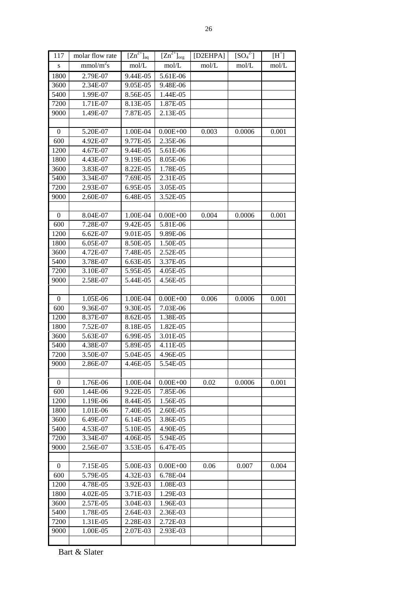| 117              | molar flow rate       | $[Zn^{2+}]_{aq}$ | $[Zn^{2+}]_{org}$ | [D2EHPA] | $[SO_4^2]$ | $[H^+]$ |
|------------------|-----------------------|------------------|-------------------|----------|------------|---------|
| S                | mmol/m <sup>2</sup> s | mol/L            | mol/L             | mol/L    | mol/L      | mol/L   |
| 1800             | 2.79E-07              | 9.44E-05         | 5.61E-06          |          |            |         |
| 3600             | 2.34E-07              | 9.05E-05         | 9.48E-06          |          |            |         |
| 5400             | 1.99E-07              | 8.56E-05         | 1.44E-05          |          |            |         |
| 7200             | 1.71E-07              | 8.13E-05         | 1.87E-05          |          |            |         |
| 9000             | 1.49E-07              | 7.87E-05         | 2.13E-05          |          |            |         |
|                  |                       |                  |                   |          |            |         |
| $\mathbf{0}$     | 5.20E-07              | 1.00E-04         | $0.00E + 00$      | 0.003    | 0.0006     | 0.001   |
| 600              | 4.92E-07              | 9.77E-05         | 2.35E-06          |          |            |         |
| 1200             | 4.67E-07              | 9.44E-05         | 5.61E-06          |          |            |         |
| 1800             | 4.43E-07              | 9.19E-05         | 8.05E-06          |          |            |         |
| 3600             | 3.83E-07              | 8.22E-05         | 1.78E-05          |          |            |         |
| 5400             | 3.34E-07              | 7.69E-05         | 2.31E-05          |          |            |         |
| 7200             | 2.93E-07              | 6.95E-05         | 3.05E-05          |          |            |         |
| 9000             | 2.60E-07              | 6.48E-05         | 3.52E-05          |          |            |         |
|                  |                       |                  |                   |          |            |         |
| $\boldsymbol{0}$ | 8.04E-07              | 1.00E-04         | $0.00E + 00$      | 0.004    | 0.0006     | 0.001   |
| 600              | 7.28E-07              | 9.42E-05         | 5.81E-06          |          |            |         |
| 1200             | 6.62E-07              | 9.01E-05         | 9.89E-06          |          |            |         |
| 1800             | 6.05E-07              | 8.50E-05         | 1.50E-05          |          |            |         |
| 3600             | 4.72E-07              | 7.48E-05         | 2.52E-05          |          |            |         |
| 5400             | 3.78E-07              | 6.63E-05         | 3.37E-05          |          |            |         |
| 7200             | 3.10E-07              | 5.95E-05         | 4.05E-05          |          |            |         |
| 9000             | 2.58E-07              | 5.44E-05         | 4.56E-05          |          |            |         |
|                  |                       |                  |                   |          |            |         |
| $\boldsymbol{0}$ | 1.05E-06              | 1.00E-04         | $0.00E + 00$      | 0.006    | 0.0006     | 0.001   |
| 600              | 9.36E-07              | 9.30E-05         | 7.03E-06          |          |            |         |
| 1200             | 8.37E-07              | 8.62E-05         | 1.38E-05          |          |            |         |
| 1800             | 7.52E-07              | 8.18E-05         | 1.82E-05          |          |            |         |
| 3600             | 5.63E-07              | 6.99E-05         | 3.01E-05          |          |            |         |
| 5400             | 4.38E-07              | 5.89E-05         | 4.11E-05          |          |            |         |
| 7200             | 3.50E-07              | 5.04E-05         | 4.96E-05          |          |            |         |
| 9000             | 2.86E-07              | 4.46E-05         | 5.54E-05          |          |            |         |
|                  |                       |                  |                   |          |            |         |
| $\boldsymbol{0}$ | 1.76E-06              | 1.00E-04         | $0.00E + 00$      | 0.02     | 0.0006     | 0.001   |
| 600              | 1.44E-06              | 9.22E-05         | 7.85E-06          |          |            |         |
| 1200             | 1.19E-06              | 8.44E-05         | 1.56E-05          |          |            |         |
| 1800             | 1.01E-06              | 7.40E-05         | 2.60E-05          |          |            |         |
| 3600             | 6.49E-07              | 6.14E-05         | 3.86E-05          |          |            |         |
| 5400             | 4.53E-07              | 5.10E-05         | 4.90E-05          |          |            |         |
| 7200             | 3.34E-07              | 4.06E-05         | 5.94E-05          |          |            |         |
| 9000             | 2.56E-07              | 3.53E-05         | 6.47E-05          |          |            |         |
|                  |                       |                  |                   |          |            |         |
| $\boldsymbol{0}$ | 7.15E-05              | 5.00E-03         | $0.00E + 00$      | 0.06     | 0.007      | 0.004   |
| 600              | 5.79E-05              | 4.32E-03         | 6.78E-04          |          |            |         |
| 1200             | 4.78E-05              | 3.92E-03         | 1.08E-03          |          |            |         |
| 1800             | 4.02E-05              | 3.71E-03         | 1.29E-03          |          |            |         |
| 3600             | 2.57E-05              | 3.04E-03         | 1.96E-03          |          |            |         |
| 5400             | 1.78E-05              | 2.64E-03         | 2.36E-03          |          |            |         |
| 7200             | 1.31E-05              | 2.28E-03         | 2.72E-03          |          |            |         |
| 9000             | 1.00E-05              | 2.07E-03         | 2.93E-03          |          |            |         |
|                  |                       |                  |                   |          |            |         |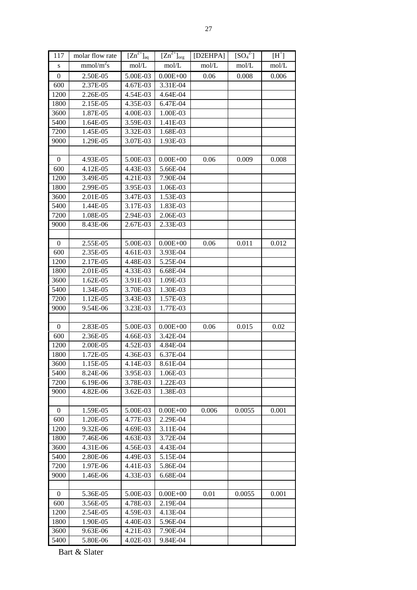| 117              | molar flow rate       | $[Zn^{2+}]_{aq}$ | $[Zn^{2+}]_{org}$ | [D2EHPA] | $[SO_4^2]$ | $[H^+]$ |
|------------------|-----------------------|------------------|-------------------|----------|------------|---------|
| ${\bf S}$        | mmol/m <sup>2</sup> s | mol/L            | mol/L             | mol/L    | mol/L      | mol/L   |
| $\boldsymbol{0}$ | 2.50E-05              | 5.00E-03         | $0.00E + 00$      | 0.06     | 0.008      | 0.006   |
| 600              | 2.37E-05              | 4.67E-03         | 3.31E-04          |          |            |         |
| 1200             | 2.26E-05              | 4.54E-03         | 4.64E-04          |          |            |         |
| 1800             | 2.15E-05              | 4.35E-03         | 6.47E-04          |          |            |         |
| 3600             | 1.87E-05              | 4.00E-03         | 1.00E-03          |          |            |         |
| 5400             | 1.64E-05              | 3.59E-03         | 1.41E-03          |          |            |         |
| 7200             | 1.45E-05              | 3.32E-03         | 1.68E-03          |          |            |         |
| 9000             | 1.29E-05              | 3.07E-03         | 1.93E-03          |          |            |         |
|                  |                       |                  |                   |          |            |         |
| $\mathbf{0}$     | 4.93E-05              | 5.00E-03         | $0.00E + 00$      | 0.06     | 0.009      | 0.008   |
| 600              | 4.12E-05              | 4.43E-03         | 5.66E-04          |          |            |         |
| 1200             | 3.49E-05              | 4.21E-03         | 7.90E-04          |          |            |         |
| 1800             | 2.99E-05              | 3.95E-03         | 1.06E-03          |          |            |         |
| 3600             | 2.01E-05              | 3.47E-03         | 1.53E-03          |          |            |         |
| 5400             | 1.44E-05              | 3.17E-03         | $1.83E-03$        |          |            |         |
| 7200             | 1.08E-05              | 2.94E-03         | 2.06E-03          |          |            |         |
| 9000             | 8.43E-06              | 2.67E-03         | 2.33E-03          |          |            |         |
|                  |                       |                  |                   |          |            |         |
| $\boldsymbol{0}$ | 2.55E-05              | 5.00E-03         | $0.00E + 00$      | 0.06     | 0.011      | 0.012   |
| 600              | 2.35E-05              | 4.61E-03         | 3.93E-04          |          |            |         |
| 1200             | 2.17E-05              | 4.48E-03         | 5.25E-04          |          |            |         |
| 1800             | 2.01E-05              | 4.33E-03         | 6.68E-04          |          |            |         |
| 3600             | 1.62E-05              | 3.91E-03         | 1.09E-03          |          |            |         |
| 5400             | 1.34E-05              | 3.70E-03         | 1.30E-03          |          |            |         |
| 7200             | 1.12E-05              | 3.43E-03         | 1.57E-03          |          |            |         |
| 9000             | 9.54E-06              | 3.23E-03         | 1.77E-03          |          |            |         |
|                  |                       |                  |                   |          |            |         |
| $\boldsymbol{0}$ | 2.83E-05              | 5.00E-03         | $0.00E + 00$      | 0.06     | 0.015      | 0.02    |
| 600              | 2.36E-05              | 4.66E-03         | 3.42E-04          |          |            |         |
| 1200             | 2.00E-05              | 4.52E-03         | 4.84E-04          |          |            |         |
| 1800             | 1.72E-05              | 4.36E-03         | 6.37E-04          |          |            |         |
| 3600             | 1.15E-05              | 4.14E-03         | 8.61E-04          |          |            |         |
| 5400             | 8.24E-06              | 3.95E-03         | 1.06E-03          |          |            |         |
| 7200             | 6.19E-06              | 3.78E-03         | 1.22E-03          |          |            |         |
| 9000             | 4.82E-06              | 3.62E-03         | 1.38E-03          |          |            |         |
|                  |                       |                  |                   |          |            |         |
| $\mathbf{0}$     | 1.59E-05              | 5.00E-03         | $0.00E + 00$      | 0.006    | 0.0055     | 0.001   |
| 600              | 1.20E-05              | 4.77E-03         | 2.29E-04          |          |            |         |
| 1200             | $9.32E-06$            | 4.69E-03         | 3.11E-04          |          |            |         |
| 1800             | 7.46E-06              | 4.63E-03         | 3.72E-04          |          |            |         |
| 3600             | 4.31E-06              | 4.56E-03         | 4.43E-04          |          |            |         |
| 5400             | 2.80E-06              | 4.49E-03         | 5.15E-04          |          |            |         |
| 7200             | 1.97E-06              | 4.41E-03         | 5.86E-04          |          |            |         |
| 9000             | 1.46E-06              | 4.33E-03         | 6.68E-04          |          |            |         |
|                  |                       |                  |                   |          |            |         |
| $\boldsymbol{0}$ | 5.36E-05              | 5.00E-03         | $0.00E + 00$      | 0.01     | 0.0055     | 0.001   |
| 600              | 3.56E-05              | 4.78E-03         | 2.19E-04          |          |            |         |
| 1200             | 2.54E-05              | 4.59E-03         | 4.13E-04          |          |            |         |
| 1800             | 1.90E-05              | 4.40E-03         | 5.96E-04          |          |            |         |
| 3600             | 9.63E-06              | 4.21E-03         | 7.90E-04          |          |            |         |
| 5400             | 5.80E-06              | 4.02E-03         | 9.84E-04          |          |            |         |
|                  |                       |                  |                   |          |            |         |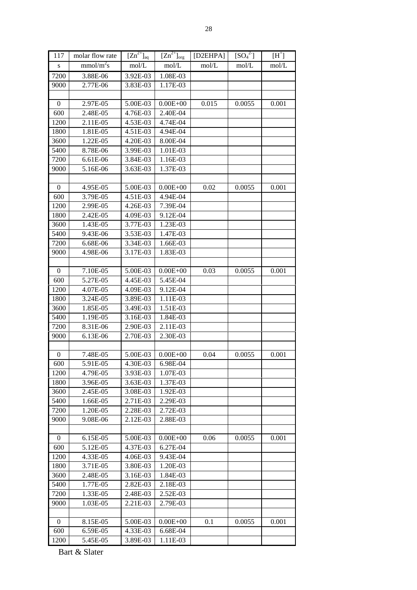| 117              | molar flow rate       | $[Zn^{2+}]_{aq}$     | $[Zn^{2+}]_{org}$    | [D2EHPA] | $[SO_4^2]$ | $[H^+]$ |
|------------------|-----------------------|----------------------|----------------------|----------|------------|---------|
| ${\bf S}$        | mmol/m <sup>2</sup> s | mol/L                | mol/L                | mol/L    | mol/L      | mol/L   |
| 7200             | 3.88E-06              | 3.92E-03             | 1.08E-03             |          |            |         |
| 9000             | 2.77E-06              | 3.83E-03             | 1.17E-03             |          |            |         |
|                  |                       |                      |                      |          |            |         |
| $\boldsymbol{0}$ | 2.97E-05              | 5.00E-03             | $0.00E + 00$         | 0.015    | 0.0055     | 0.001   |
| 600              | 2.48E-05              | 4.76E-03             | 2.40E-04             |          |            |         |
| 1200             | 2.11E-05              | 4.53E-03             | 4.74E-04             |          |            |         |
| 1800             | 1.81E-05              | 4.51E-03             | 4.94E-04             |          |            |         |
| 3600             | 1.22E-05              | 4.20E-03             | 8.00E-04             |          |            |         |
| 5400             | 8.78E-06              | 3.99E-03             | 1.01E-03             |          |            |         |
| 7200             | 6.61E-06              | 3.84E-03             | 1.16E-03             |          |            |         |
| 9000             | 5.16E-06              | 3.63E-03             | 1.37E-03             |          |            |         |
|                  |                       |                      |                      |          |            |         |
| $\boldsymbol{0}$ | 4.95E-05              | 5.00E-03             | $0.00E + 00$         | 0.02     | 0.0055     | 0.001   |
| 600              | 3.79E-05              | 4.51E-03             | 4.94E-04             |          |            |         |
| 1200             | 2.99E-05              | 4.26E-03             | 7.39E-04             |          |            |         |
| 1800             | 2.42E-05              | 4.09E-03             | 9.12E-04             |          |            |         |
| 3600             | 1.43E-05              | 3.77E-03             | 1.23E-03             |          |            |         |
| 5400             | 9.43E-06              | 3.53E-03             | 1.47E-03             |          |            |         |
| 7200             | 6.68E-06              | 3.34E-03             | 1.66E-03             |          |            |         |
| 9000             | 4.98E-06              | 3.17E-03             | 1.83E-03             |          |            |         |
|                  |                       |                      |                      |          |            |         |
| $\boldsymbol{0}$ | 7.10E-05              | 5.00E-03             | $0.00E + 00$         | 0.03     | 0.0055     | 0.001   |
| 600              | 5.27E-05              | 4.45E-03             | 5.45E-04             |          |            |         |
| 1200             | 4.07E-05              | 4.09E-03             | 9.12E-04             |          |            |         |
| 1800             | 3.24E-05              | 3.89E-03             | 1.11E-03             |          |            |         |
| 3600             | 1.85E-05              | 3.49E-03             | 1.51E-03             |          |            |         |
| 5400             | 1.19E-05              | 3.16E-03             | 1.84E-03             |          |            |         |
| 7200             | 8.31E-06              | 2.90E-03             | 2.11E-03             |          |            |         |
| 9000             | 6.13E-06              | 2.70E-03             | 2.30E-03             |          |            |         |
|                  |                       |                      |                      |          |            |         |
| $\boldsymbol{0}$ | 7.48E-05              | 5.00E-03             | $0.00E + 00$         | 0.04     | 0.0055     | 0.001   |
| 600              | 5.91E-05              | 4.30E-03             | 6.98E-04             |          |            |         |
| 1200             | 4.79E-05              | 3.93E-03             | 1.07E-03             |          |            |         |
| 1800             | 3.96E-05              | 3.63E-03             | 1.37E-03             |          |            |         |
| 3600             | 2.45E-05              | 3.08E-03             | 1.92E-03             |          |            |         |
| 5400             | 1.66E-05              | 2.71E-03             | 2.29E-03             |          |            |         |
| 7200<br>9000     | 1.20E-05<br>9.08E-06  | 2.28E-03<br>2.12E-03 | 2.72E-03<br>2.88E-03 |          |            |         |
|                  |                       |                      |                      |          |            |         |
| $\mathbf{0}$     | 6.15E-05              | 5.00E-03             | $0.00E + 00$         | 0.06     | 0.0055     | 0.001   |
| 600              | 5.12E-05              | 4.37E-03             | 6.27E-04             |          |            |         |
| 1200             | 4.33E-05              | 4.06E-03             | 9.43E-04             |          |            |         |
| 1800             | 3.71E-05              | 3.80E-03             | 1.20E-03             |          |            |         |
| 3600             | 2.48E-05              | 3.16E-03             | 1.84E-03             |          |            |         |
| 5400             | 1.77E-05              | 2.82E-03             | 2.18E-03             |          |            |         |
| 7200             | 1.33E-05              | 2.48E-03             | 2.52E-03             |          |            |         |
| 9000             | 1.03E-05              | 2.21E-03             | 2.79E-03             |          |            |         |
|                  |                       |                      |                      |          |            |         |
| $\boldsymbol{0}$ | 8.15E-05              | 5.00E-03             | $0.00E + 00$         | 0.1      | 0.0055     | 0.001   |
| 600              | 6.59E-05              | 4.33E-03             | 6.68E-04             |          |            |         |
| 1200             | 5.45E-05              | 3.89E-03             | 1.11E-03             |          |            |         |
|                  |                       |                      |                      |          |            |         |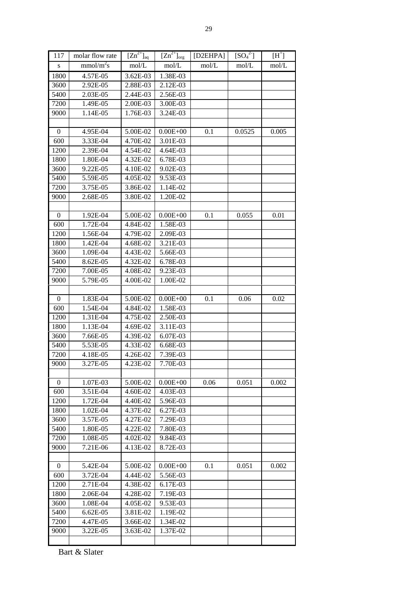| 117              | molar flow rate       | $[Zn^{2+}]_{aq}$     | $[Zn^{2+}]_{org}$    | [D2EHPA] | $[SO_4^2]$ | $[H^+]$ |
|------------------|-----------------------|----------------------|----------------------|----------|------------|---------|
| S                | mmol/m <sup>2</sup> s | mol/L                | mol/L                | mol/L    | mol/L      | mol/L   |
| 1800             | 4.57E-05              | 3.62E-03             | 1.38E-03             |          |            |         |
| 3600             | 2.92E-05              | 2.88E-03             | 2.12E-03             |          |            |         |
| 5400             | 2.03E-05              | 2.44E-03             | 2.56E-03             |          |            |         |
| 7200             | 1.49E-05              | 2.00E-03             | 3.00E-03             |          |            |         |
| 9000             | 1.14E-05              | 1.76E-03             | 3.24E-03             |          |            |         |
|                  |                       |                      |                      |          |            |         |
| $\mathbf{0}$     | $4.95E-04$            | 5.00E-02             | $0.00E + 00$         | 0.1      | 0.0525     | 0.005   |
| 600              | 3.33E-04              | 4.70E-02             | 3.01E-03             |          |            |         |
| 1200             | 2.39E-04              | 4.54E-02             | 4.64E-03             |          |            |         |
| 1800             | 1.80E-04              | 4.32E-02             | 6.78E-03             |          |            |         |
| 3600             | 9.22E-05              | 4.10E-02             | 9.02E-03             |          |            |         |
| 5400             | 5.59E-05              | 4.05E-02             | 9.53E-03             |          |            |         |
| 7200             | 3.75E-05              | 3.86E-02             | 1.14E-02             |          |            |         |
| 9000             | 2.68E-05              | 3.80E-02             | 1.20E-02             |          |            |         |
|                  |                       |                      |                      |          |            |         |
| $\mathbf{0}$     | 1.92E-04              | 5.00E-02             | $0.00E + 00$         | 0.1      | 0.055      | 0.01    |
| 600              | 1.72E-04              | 4.84E-02             | 1.58E-03             |          |            |         |
| 1200             | 1.56E-04              | 4.79E-02             | 2.09E-03             |          |            |         |
| 1800             | 1.42E-04              | 4.68E-02             | 3.21E-03             |          |            |         |
| 3600             | 1.09E-04              | 4.43E-02             | 5.66E-03             |          |            |         |
| 5400             | 8.62E-05              | 4.32E-02             | 6.78E-03             |          |            |         |
| 7200             | 7.00E-05              | 4.08E-02             | 9.23E-03             |          |            |         |
|                  | 5.79E-05              |                      |                      |          |            |         |
| 9000             |                       | 4.00E-02             | 1.00E-02             |          |            |         |
| $\boldsymbol{0}$ | 1.83E-04              | 5.00E-02             | $0.00E + 00$         | 0.1      | 0.06       | 0.02    |
| 600              | 1.54E-04              | 4.84E-02             | 1.58E-03             |          |            |         |
| 1200             | 1.31E-04              |                      | 2.50E-03             |          |            |         |
|                  |                       | 4.75E-02             |                      |          |            |         |
| 1800             | 1.13E-04<br>7.66E-05  | 4.69E-02             | 3.11E-03<br>6.07E-03 |          |            |         |
| 3600<br>5400     | 5.53E-05              | 4.39E-02<br>4.33E-02 | 6.68E-03             |          |            |         |
|                  |                       |                      |                      |          |            |         |
| 7200             | 4.18E-05              | 4.26E-02             | 7.39E-03             |          |            |         |
| 9000             | 3.27E-05              | 4.23E-02             | 7.70E-03             |          |            |         |
|                  |                       |                      |                      |          |            |         |
| $\boldsymbol{0}$ | 1.07E-03              | 5.00E-02             | $0.00E + 00$         | 0.06     | 0.051      | 0.002   |
| 600              | 3.51E-04              | 4.60E-02             | 4.03E-03             |          |            |         |
| 1200             | 1.72E-04              | 4.40E-02             | 5.96E-03             |          |            |         |
| 1800             | 1.02E-04              | 4.37E-02             | 6.27E-03             |          |            |         |
| 3600             | 3.57E-05              | 4.27E-02             | 7.29E-03             |          |            |         |
| 5400             | 1.80E-05              | 4.22E-02             | 7.80E-03             |          |            |         |
| 7200             | 1.08E-05              | 4.02E-02             | 9.84E-03             |          |            |         |
| 9000             | 7.21E-06              | 4.13E-02             | 8.72E-03             |          |            |         |
|                  |                       |                      |                      |          |            |         |
| $\boldsymbol{0}$ | 5.42E-04              | 5.00E-02             | $0.00E + 00$         | 0.1      | 0.051      | 0.002   |
| 600              | 3.72E-04              | 4.44E-02             | 5.56E-03             |          |            |         |
| 1200             | 2.71E-04              | 4.38E-02             | 6.17E-03             |          |            |         |
| 1800             | 2.06E-04              | 4.28E-02             | 7.19E-03             |          |            |         |
| 3600             | 1.08E-04              | 4.05E-02             | 9.53E-03             |          |            |         |
| 5400             | 6.62E-05              | 3.81E-02             | 1.19E-02             |          |            |         |
| 7200             | 4.47E-05              | 3.66E-02             | 1.34E-02             |          |            |         |
| 9000             | 3.22E-05              | 3.63E-02             | 1.37E-02             |          |            |         |
|                  |                       |                      |                      |          |            |         |